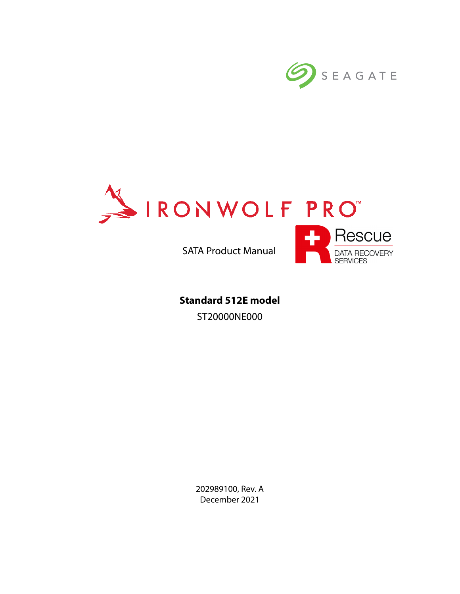



SATA Product Manual



**Standard 512E model** ST20000NE000

> 202989100, Rev. A December 2021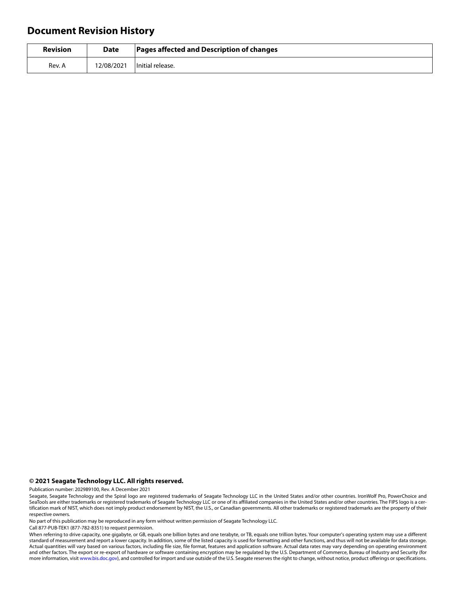# **Document Revision History**

| <b>Revision</b> | <b>Date</b> | <b>Pages affected and Description of changes</b> |
|-----------------|-------------|--------------------------------------------------|
| Rev. A          | 12/08/2021  | Initial release.                                 |

#### **© 2021 Seagate Technology LLC. All rights reserved.**

Publication number: 202989100, Rev. A December 2021

No part of this publication may be reproduced in any form without written permission of Seagate Technology LLC.

Call 877-PUB-TEK1 (877-782-8351) to request permission.

When referring to drive capacity, one gigabyte, or GB, equals one billion bytes and one terabyte, or TB, equals one trillion bytes. Your computer's operating system may use a different standard of measurement and report a lower capacity. In addition, some of the listed capacity is used for formatting and other functions, and thus will not be available for data storage. Actual quantities will vary based on various factors, including file size, file format, features and application software. Actual data rates may vary depending on operating environment and other factors. The export or re-export of hardware or software containing encryption may be regulated by the U.S. Department of Commerce, Bureau of Industry and Security (for more information, visit [www.bis.doc.gov](http://www.bis.doc.gov)), and controlled for import and use outside of the U.S. Seagate reserves the right to change, without notice, product offerings or specifications.

Seagate, Seagate Technology and the Spiral logo are registered trademarks of Seagate Technology LLC in the United States and/or other countries. IronWolf Pro, PowerChoice and SeaTools are either trademarks or registered trademarks of Seagate Technology LLC or one of its affiliated companies in the United States and/or other countries. The FIPS logo is a certification mark of NIST, which does not imply product endorsement by NIST, the U.S., or Canadian governments. All other trademarks or registered trademarks are the property of their respective owners.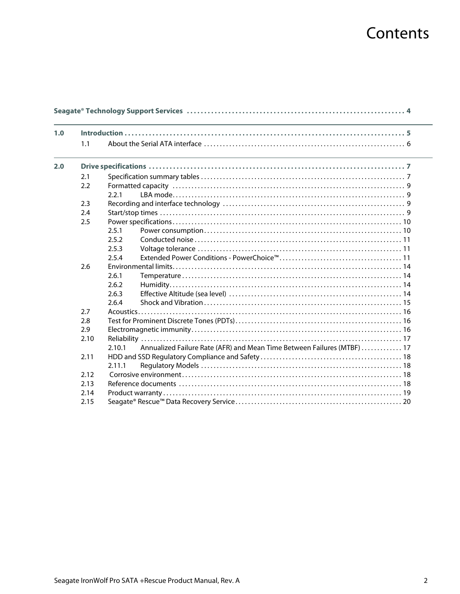# Contents

| 1.0 |      |                                                                                   |  |
|-----|------|-----------------------------------------------------------------------------------|--|
|     | 1.1  |                                                                                   |  |
| 2.0 |      |                                                                                   |  |
|     | 2.1  |                                                                                   |  |
|     | 2.2  |                                                                                   |  |
|     |      | 2.2.1                                                                             |  |
|     | 2.3  |                                                                                   |  |
|     | 2.4  |                                                                                   |  |
|     | 2.5  |                                                                                   |  |
|     |      | 2.5.1                                                                             |  |
|     |      | 2.5.2                                                                             |  |
|     |      | 2.5.3                                                                             |  |
|     |      | 2.5.4                                                                             |  |
|     | 2.6  |                                                                                   |  |
|     |      | 2.6.1                                                                             |  |
|     |      | 2.6.2                                                                             |  |
|     |      | 2.6.3                                                                             |  |
|     |      | 2.6.4                                                                             |  |
|     | 2.7  |                                                                                   |  |
|     | 2.8  |                                                                                   |  |
|     | 2.9  |                                                                                   |  |
|     | 2.10 |                                                                                   |  |
|     |      | Annualized Failure Rate (AFR) and Mean Time Between Failures (MTBF)  17<br>2.10.1 |  |
|     | 2.11 |                                                                                   |  |
|     |      | 2.11.1                                                                            |  |
|     | 2.12 |                                                                                   |  |
|     | 2.13 |                                                                                   |  |
|     | 2.14 |                                                                                   |  |
|     | 2.15 |                                                                                   |  |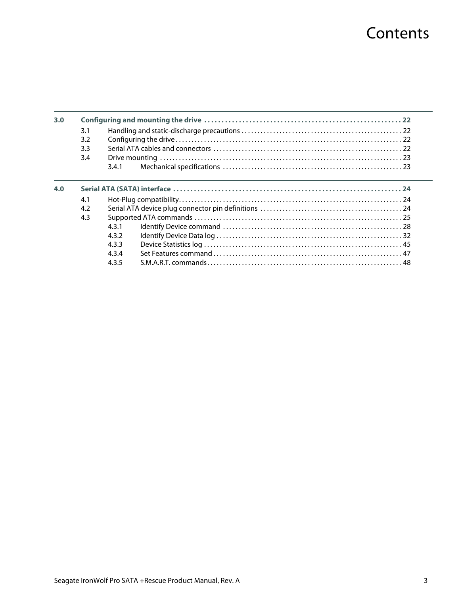# **Contents**

| 3.0 |     |       |  |  |  |
|-----|-----|-------|--|--|--|
|     | 3.1 |       |  |  |  |
|     | 3.2 |       |  |  |  |
|     | 3.3 |       |  |  |  |
|     | 3.4 |       |  |  |  |
|     |     | 3.4.1 |  |  |  |
| 4.0 |     |       |  |  |  |
|     | 4.1 |       |  |  |  |
|     | 4.2 |       |  |  |  |
|     | 4.3 |       |  |  |  |
|     |     | 431   |  |  |  |
|     |     | 432   |  |  |  |
|     |     | 4.3.3 |  |  |  |
|     |     | 434   |  |  |  |
|     |     | 4.3.5 |  |  |  |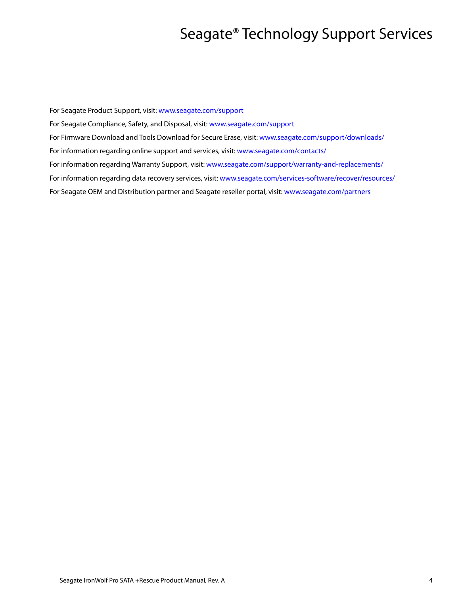# Seagate® Technology Support Services

<span id="page-4-0"></span>For Seagate Product Support, visit: [www.seagate.com/support](https://www.seagate.com/support) For Seagate Compliance, Safety, and Disposal, visit: [www.seagate.com/support](https://www.seagate.com/support) [For Firmware Download and Tools Download for Secure Erase, visit:](https://www.seagate.com/support/downloads/) www.seagate.com/support/downloads/ For information regarding online support and services, visit: [www.seagate.com/contacts/](http://www.seagate.com/contacts/) [For information regarding Warranty Support, visit: w](http://www.seagate.com/support/warranty-and-replacements/)ww.seagate.com/support/warranty-and-replacements/ For information regarding data recovery services, visit: [www.seagate.com/services-software/recover/resources/](http://www.seagate.com/services-software/seagate-recovery-services/recover/) [For Seagate OEM and Distribution partner and Seagate reseller portal, visit:](http://www.seagate.com/partners) www.seagate.com/partners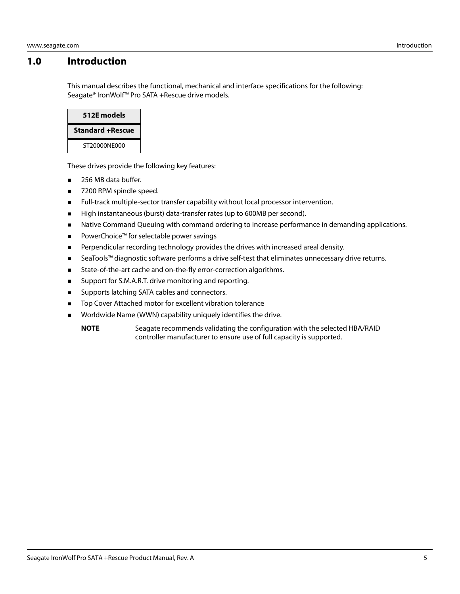# <span id="page-5-0"></span>**1.0 Introduction**

This manual describes the functional, mechanical and interface specifications for the following: Seagate® IronWolf™ Pro SATA +Rescue drive models.



These drives provide the following key features:

- 256 MB data buffer.
- 7200 RPM spindle speed.
- **Full-track multiple-sector transfer capability without local processor intervention.**
- High instantaneous (burst) data-transfer rates (up to 600MB per second).
- **Native Command Queuing with command ordering to increase performance in demanding applications.**
- PowerChoice™ for selectable power savings
- **Perpendicular recording technology provides the drives with increased areal density.**
- SeaTools™ diagnostic software performs a drive self-test that eliminates unnecessary drive returns.
- **State-of-the-art cache and on-the-fly error-correction algorithms.**
- **Support for S.M.A.R.T. drive monitoring and reporting.**
- **Supports latching SATA cables and connectors.**
- Top Cover Attached motor for excellent vibration tolerance
- **Norldwide Name (WWN) capability uniquely identifies the drive.** 
	- **NOTE** Seagate recommends validating the configuration with the selected HBA/RAID controller manufacturer to ensure use of full capacity is supported.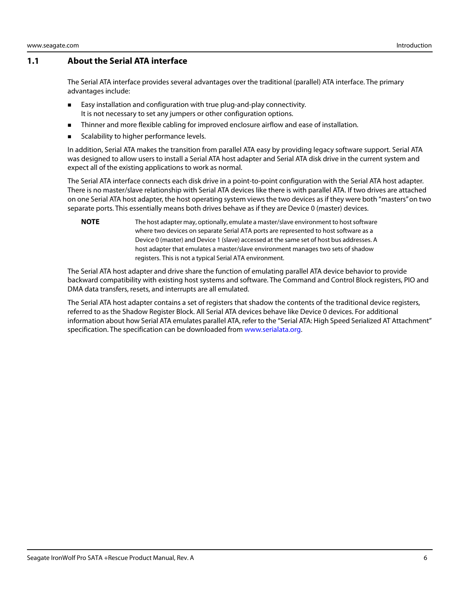### <span id="page-6-0"></span>**1.1 About the Serial ATA interface**

The Serial ATA interface provides several advantages over the traditional (parallel) ATA interface. The primary advantages include:

- **Easy installation and configuration with true plug-and-play connectivity.** It is not necessary to set any jumpers or other configuration options.
- **Thinner and more flexible cabling for improved enclosure airflow and ease of installation.**
- Scalability to higher performance levels.

In addition, Serial ATA makes the transition from parallel ATA easy by providing legacy software support. Serial ATA was designed to allow users to install a Serial ATA host adapter and Serial ATA disk drive in the current system and expect all of the existing applications to work as normal.

The Serial ATA interface connects each disk drive in a point-to-point configuration with the Serial ATA host adapter. There is no master/slave relationship with Serial ATA devices like there is with parallel ATA. If two drives are attached on one Serial ATA host adapter, the host operating system views the two devices as if they were both "masters" on two separate ports. This essentially means both drives behave as if they are Device 0 (master) devices.

**NOTE** The host adapter may, optionally, emulate a master/slave environment to host software where two devices on separate Serial ATA ports are represented to host software as a Device 0 (master) and Device 1 (slave) accessed at the same set of host bus addresses. A host adapter that emulates a master/slave environment manages two sets of shadow registers. This is not a typical Serial ATA environment.

The Serial ATA host adapter and drive share the function of emulating parallel ATA device behavior to provide backward compatibility with existing host systems and software. The Command and Control Block registers, PIO and DMA data transfers, resets, and interrupts are all emulated.

The Serial ATA host adapter contains a set of registers that shadow the contents of the traditional device registers, referred to as the Shadow Register Block. All Serial ATA devices behave like Device 0 devices. For additional information about how Serial ATA emulates parallel ATA, refer to the "Serial ATA: High Speed Serialized AT Attachment" specification. The specification can be downloaded from [www.serialata.org](http://www.serialata.org).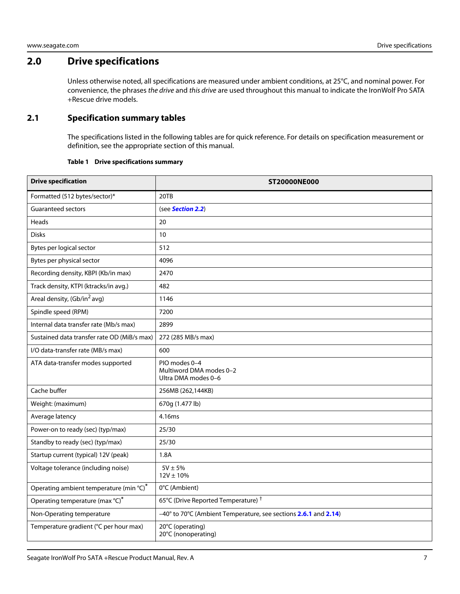# <span id="page-7-0"></span>**2.0 Drive specifications**

Unless otherwise noted, all specifications are measured under ambient conditions, at 25°C, and nominal power. For convenience, the phrases the drive and this drive are used throughout this manual to indicate the IronWolf Pro SATA +Rescue drive models.

# <span id="page-7-1"></span>**2.1 Specification summary tables**

The specifications listed in the following tables are for quick reference. For details on specification measurement or definition, see the appropriate section of this manual.

#### **Table 1 Drive specifications summary**

<span id="page-7-2"></span>

| <b>Drive specification</b>                  | <b>ST20000NE000</b>                                             |  |  |
|---------------------------------------------|-----------------------------------------------------------------|--|--|
| Formatted (512 bytes/sector)*               | 20TB                                                            |  |  |
| Guaranteed sectors                          | (see Section 2.2)                                               |  |  |
| Heads                                       | 20                                                              |  |  |
| <b>Disks</b>                                | 10                                                              |  |  |
| Bytes per logical sector                    | 512                                                             |  |  |
| Bytes per physical sector                   | 4096                                                            |  |  |
| Recording density, KBPI (Kb/in max)         | 2470                                                            |  |  |
| Track density, KTPI (ktracks/in avg.)       | 482                                                             |  |  |
| Areal density, (Gb/in <sup>2</sup> avg)     | 1146                                                            |  |  |
| Spindle speed (RPM)                         | 7200                                                            |  |  |
| Internal data transfer rate (Mb/s max)      | 2899                                                            |  |  |
| Sustained data transfer rate OD (MiB/s max) | 272 (285 MB/s max)                                              |  |  |
| I/O data-transfer rate (MB/s max)           | 600                                                             |  |  |
| ATA data-transfer modes supported           | PIO modes 0-4<br>Multiword DMA modes 0-2<br>Ultra DMA modes 0-6 |  |  |
| Cache buffer                                | 256MB (262,144KB)                                               |  |  |
| Weight: (maximum)                           | 670g (1.477 lb)                                                 |  |  |
| Average latency                             | 4.16ms                                                          |  |  |
| Power-on to ready (sec) (typ/max)           | 25/30                                                           |  |  |
| Standby to ready (sec) (typ/max)            | 25/30                                                           |  |  |
| Startup current (typical) 12V (peak)        | 1.8A                                                            |  |  |
| Voltage tolerance (including noise)         | $5V \pm 5%$<br>$12V \pm 10\%$                                   |  |  |
| Operating ambient temperature (min °C)*     | 0°C (Ambient)                                                   |  |  |
| Operating temperature (max °C)*             | 65°C (Drive Reported Temperature) <sup>†</sup>                  |  |  |
| Non-Operating temperature                   | -40° to 70°C (Ambient Temperature, see sections 2.6.1 and 2.14) |  |  |
| Temperature gradient (°C per hour max)      | 20°C (operating)<br>20°C (nonoperating)                         |  |  |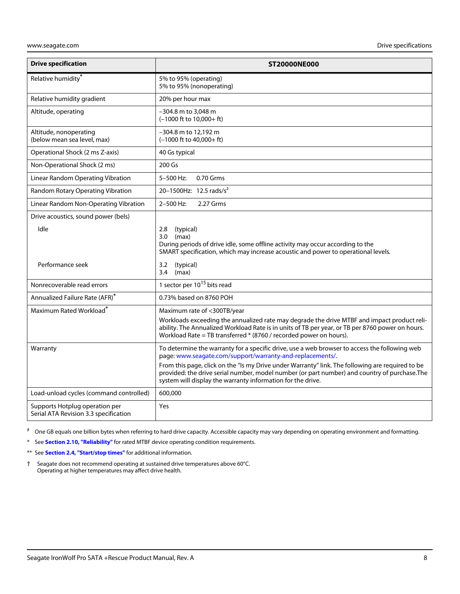| <b>Drive specification</b>                                              | <b>ST20000NE000</b>                                                                                                                                                                                                                                                                                                                                                                                                            |  |  |
|-------------------------------------------------------------------------|--------------------------------------------------------------------------------------------------------------------------------------------------------------------------------------------------------------------------------------------------------------------------------------------------------------------------------------------------------------------------------------------------------------------------------|--|--|
| Relative humidity <sup>*</sup>                                          | 5% to 95% (operating)<br>5% to 95% (nonoperating)                                                                                                                                                                                                                                                                                                                                                                              |  |  |
| Relative humidity gradient                                              | 20% per hour max                                                                                                                                                                                                                                                                                                                                                                                                               |  |  |
| Altitude, operating                                                     | -304.8 m to 3,048 m<br>(-1000 ft to 10,000+ft)                                                                                                                                                                                                                                                                                                                                                                                 |  |  |
| Altitude, nonoperating<br>(below mean sea level, max)                   | -304.8 m to 12,192 m<br>$(-1000 \text{ ft to } 40,000 + \text{ ft})$                                                                                                                                                                                                                                                                                                                                                           |  |  |
| Operational Shock (2 ms Z-axis)                                         | 40 Gs typical                                                                                                                                                                                                                                                                                                                                                                                                                  |  |  |
| Non-Operational Shock (2 ms)                                            | 200 Gs                                                                                                                                                                                                                                                                                                                                                                                                                         |  |  |
| Linear Random Operating Vibration                                       | 5-500 Hz:<br>0.70 Grms                                                                                                                                                                                                                                                                                                                                                                                                         |  |  |
| Random Rotary Operating Vibration                                       | 20-1500Hz: 12.5 rads/s <sup>2</sup>                                                                                                                                                                                                                                                                                                                                                                                            |  |  |
| Linear Random Non-Operating Vibration                                   | 2-500 Hz:<br>2.27 Grms                                                                                                                                                                                                                                                                                                                                                                                                         |  |  |
| Drive acoustics, sound power (bels)                                     |                                                                                                                                                                                                                                                                                                                                                                                                                                |  |  |
| Idle                                                                    | 2.8<br>(typical)<br>(max)<br>3.0 <sub>1</sub><br>During periods of drive idle, some offline activity may occur according to the<br>SMART specification, which may increase acoustic and power to operational levels.                                                                                                                                                                                                           |  |  |
| Performance seek                                                        | (typical)<br>3.2<br>(max)<br>3.4                                                                                                                                                                                                                                                                                                                                                                                               |  |  |
| Nonrecoverable read errors                                              | 1 sector per 10 <sup>15</sup> bits read                                                                                                                                                                                                                                                                                                                                                                                        |  |  |
| Annualized Failure Rate (AFR)*                                          | 0.73% based on 8760 POH                                                                                                                                                                                                                                                                                                                                                                                                        |  |  |
| Maximum Rated Workload <sup>®</sup>                                     | Maximum rate of <300TB/year<br>Workloads exceeding the annualized rate may degrade the drive MTBF and impact product reli-<br>ability. The Annualized Workload Rate is in units of TB per year, or TB per 8760 power on hours.<br>Workload Rate = TB transferred * (8760 / recorded power on hours).                                                                                                                           |  |  |
| Warranty                                                                | To determine the warranty for a specific drive, use a web browser to access the following web<br>page: www.seagate.com/support/warranty-and-replacements/.<br>From this page, click on the "Is my Drive under Warranty" link. The following are required to be<br>provided: the drive serial number, model number (or part number) and country of purchase. The<br>system will display the warranty information for the drive. |  |  |
| Load-unload cycles (command controlled)                                 | 600,000                                                                                                                                                                                                                                                                                                                                                                                                                        |  |  |
| Supports Hotplug operation per<br>Serial ATA Revision 3.3 specification | Yes                                                                                                                                                                                                                                                                                                                                                                                                                            |  |  |

# One GB equals one billion bytes when referring to hard drive capacity. Accessible capacity may vary depending on operating environment and formatting.

\* See **[Section 2.10, "Reliability"](#page-17-0)** for rated MTBF device operating condition requirements.

- \*\* See **[Section 2.4, "Start/stop times"](#page-9-3)** for additional information.
- <span id="page-8-0"></span>† Seagate does not recommend operating at sustained drive temperatures above 60°C. Operating at higher temperatures may affect drive health.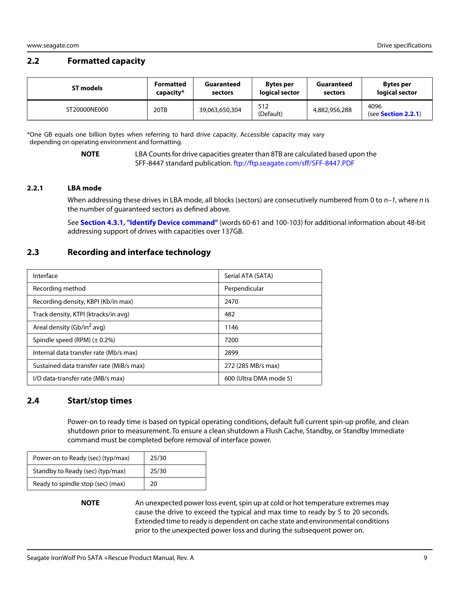# <span id="page-9-0"></span>**2.2 Formatted capacity**

| <b>ST models</b> | <b>Formatted</b> | Guaranteed     | <b>Bytes per</b> | Guaranteed    | <b>Bytes per</b>                    |
|------------------|------------------|----------------|------------------|---------------|-------------------------------------|
|                  | capacity*        | sectors        | logical sector   | sectors       | logical sector                      |
| ST20000NE000     | 20TB             | 39,063,650,304 | 512<br>(Default) | 4,882,956,288 | 4096<br>(see <b>Section 2.2.1</b> ) |

\*One GB equals one billion bytes when referring to hard drive capacity. Accessible capacity may vary depending on operating environment and formatting.

> **NOTE** LBA Counts for drive capacities greater than 8TB are calculated based upon the SFF-8447 standard publication.<ftp://ftp.seagate.com/sff/SFF-8447.PDF>

#### <span id="page-9-1"></span>**2.2.1 LBA mode**

When addressing these drives in LBA mode, all blocks (sectors) are consecutively numbered from 0 to  $n-1$ , where n is the number of guaranteed sectors as defined above.

See **[Section 4.3.1, "Identify Device command"](#page-28-0)** (words 60-61 and 100-103) for additional information about 48-bit addressing support of drives with capacities over 137GB.

# <span id="page-9-2"></span>**2.3 Recording and interface technology**

| Interface                                | Serial ATA (SATA)      |
|------------------------------------------|------------------------|
| Recording method                         | Perpendicular          |
| Recording density, KBPI (Kb/in max)      | 2470                   |
| Track density, KTPI (ktracks/in avg)     | 482                    |
| Areal density (Gb/in <sup>2</sup> avg)   | 1146                   |
| Spindle speed (RPM) $(\pm 0.2\%)$        | 7200                   |
| Internal data transfer rate (Mb/s max)   | 2899                   |
| Sustained data transfer rate (MiB/s max) | 272 (285 MB/s max)     |
| I/O data-transfer rate (MB/s max)        | 600 (Ultra DMA mode 5) |

### <span id="page-9-3"></span>**2.4 Start/stop times**

Power-on to ready time is based on typical operating conditions, default full current spin-up profile, and clean shutdown prior to measurement. To ensure a clean shutdown a Flush Cache, Standby, or Standby Immediate command must be completed before removal of interface power.

| Power-on to Ready (sec) (typ/max) | 25/30 |
|-----------------------------------|-------|
| Standby to Ready (sec) (typ/max)  | 25/30 |
| Ready to spindle stop (sec) (max) | 20    |

**NOTE** An unexpected power loss event, spin up at cold or hot temperature extremes may cause the drive to exceed the typical and max time to ready by 5 to 20 seconds. Extended time to ready is dependent on cache state and environmental conditions prior to the unexpected power loss and during the subsequent power on.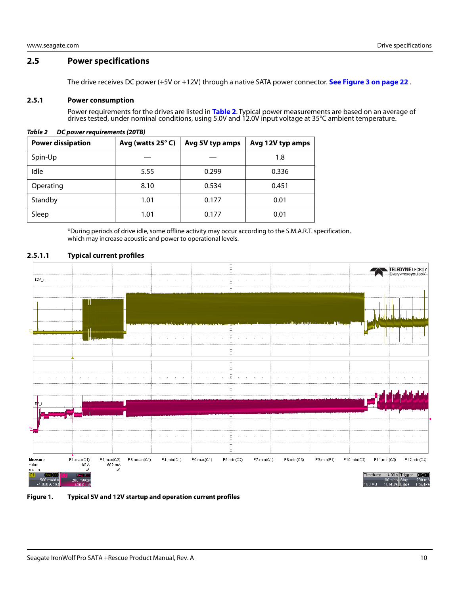### <span id="page-10-0"></span>**2.5 Power specifications**

The drive receives DC power (+5V or +12V) through a native SATA power connector. **[See Figure 3 on page 22](#page-22-4)** .

#### <span id="page-10-1"></span>**2.5.1 Power consumption**

Power requirements for the drives are listed in **Table 2**. Typical power measurements are based on an average of drives tested, under nominal conditions, using 5.0V and 12.0V input voltage at 35°C ambient temperature.

| <b>Power dissipation</b> | Avg (watts 25°C) | Avg 5V typ amps | Avg 12V typ amps |
|--------------------------|------------------|-----------------|------------------|
| Spin-Up                  |                  |                 | 1.8              |
| Idle                     | 5.55             | 0.299           | 0.336            |
| Operating                | 8.10             | 0.534           | 0.451            |
| Standby                  | 1.01             | 0.177           | 0.01             |
| Sleep                    | 1.01             | 0.177           | 0.01             |

#### *Table 2 DC power requirements (20TB)*

\*During periods of drive idle, some offline activity may occur according to the S.M.A.R.T. specification, which may increase acoustic and power to operational levels.

#### **2.5.1.1 Typical current profiles**



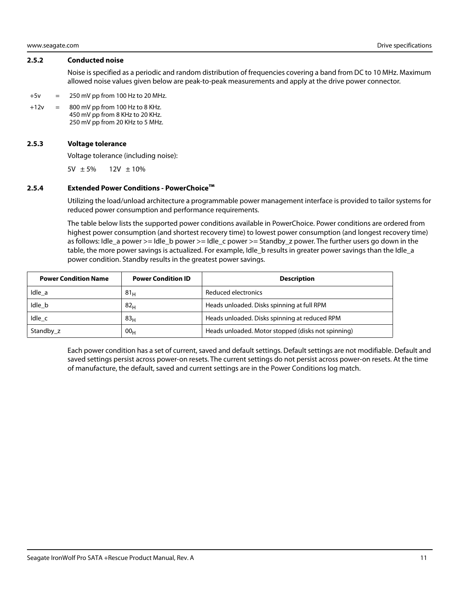#### <span id="page-11-0"></span>**2.5.2 Conducted noise**

Noise is specified as a periodic and random distribution of frequencies covering a band from DC to 10 MHz. Maximum allowed noise values given below are peak-to-peak measurements and apply at the drive power connector.

- $+5v = 250 \text{ mV pp}$  from 100 Hz to 20 MHz.
- $+12v = 800$  mV pp from 100 Hz to 8 KHz. 450 mV pp from 8 KHz to 20 KHz. 250 mV pp from 20 KHz to 5 MHz.

#### <span id="page-11-1"></span>**2.5.3 Voltage tolerance**

Voltage tolerance (including noise):

5V  $\pm 5\%$  12V  $\pm 10\%$ 

#### <span id="page-11-2"></span>**2.5.4 Extended Power Conditions - PowerChoice™**

Utilizing the load/unload architecture a programmable power management interface is provided to tailor systems for reduced power consumption and performance requirements.

The table below lists the supported power conditions available in PowerChoice. Power conditions are ordered from highest power consumption (and shortest recovery time) to lowest power consumption (and longest recovery time) as follows: Idle\_a power >= Idle\_b power >= Idle\_c power >= Standby\_z power. The further users go down in the table, the more power savings is actualized. For example, Idle\_b results in greater power savings than the Idle\_a power condition. Standby results in the greatest power savings.

| <b>Power Condition Name</b> | <b>Power Condition ID</b> | <b>Description</b>                                 |
|-----------------------------|---------------------------|----------------------------------------------------|
| Idle a                      | $81_H$                    | Reduced electronics                                |
| Idle_b                      | 82 <sub>H</sub>           | Heads unloaded. Disks spinning at full RPM         |
| Idle c                      | 83 <sub>H</sub>           | Heads unloaded. Disks spinning at reduced RPM      |
| Standby z                   | 00 <sub>H</sub>           | Heads unloaded. Motor stopped (disks not spinning) |

Each power condition has a set of current, saved and default settings. Default settings are not modifiable. Default and saved settings persist across power-on resets. The current settings do not persist across power-on resets. At the time of manufacture, the default, saved and current settings are in the Power Conditions log match.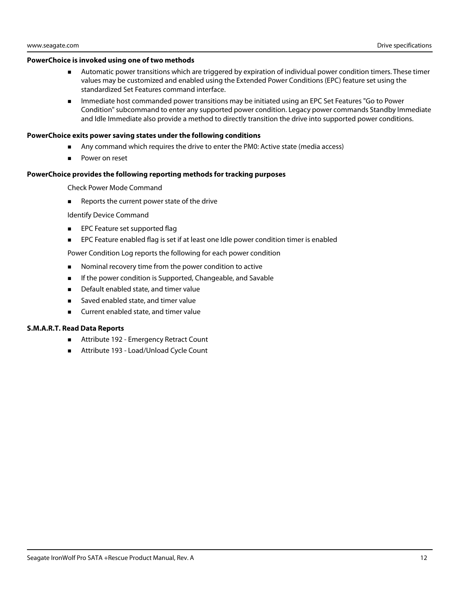#### **PowerChoice is invoked using one of two methods**

- Automatic power transitions which are triggered by expiration of individual power condition timers. These timer values may be customized and enabled using the Extended Power Conditions (EPC) feature set using the standardized Set Features command interface.
- **IMMED 19 Immediate host commanded power transitions may be initiated using an EPC Set Features "Go to Power** Condition" subcommand to enter any supported power condition. Legacy power commands Standby Immediate and Idle Immediate also provide a method to directly transition the drive into supported power conditions.

#### **PowerChoice exits power saving states under the following conditions**

- Any command which requires the drive to enter the PM0: Active state (media access)
- Power on reset

#### **PowerChoice provides the following reporting methods for tracking purposes**

Check Power Mode Command

Reports the current power state of the drive

Identify Device Command

- **EPC Feature set supported flag**
- **EPC Feature enabled flag is set if at least one Idle power condition timer is enabled**

Power Condition Log reports the following for each power condition

- **Nominal recovery time from the power condition to active**
- **If the power condition is Supported, Changeable, and Savable**
- **Default enabled state, and timer value**
- Saved enabled state, and timer value
- Current enabled state, and timer value

#### **S.M.A.R.T. Read Data Reports**

- Attribute 192 Emergency Retract Count
- Attribute 193 Load/Unload Cycle Count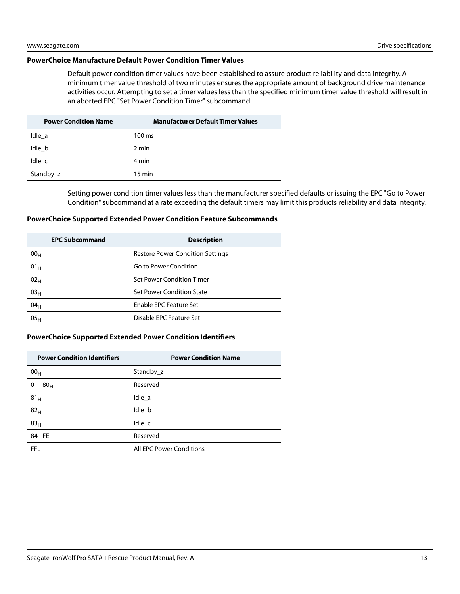#### **PowerChoice Manufacture Default Power Condition Timer Values**

Default power condition timer values have been established to assure product reliability and data integrity. A minimum timer value threshold of two minutes ensures the appropriate amount of background drive maintenance activities occur. Attempting to set a timer values less than the specified minimum timer value threshold will result in an aborted EPC "Set Power Condition Timer" subcommand.

| <b>Power Condition Name</b> | <b>Manufacturer Default Timer Values</b> |
|-----------------------------|------------------------------------------|
| Idle a                      | $100 \text{ ms}$                         |
| Idle b                      | 2 min                                    |
| Idle c                      | 4 min                                    |
| Standby_z                   | $15 \text{ min}$                         |

Setting power condition timer values less than the manufacturer specified defaults or issuing the EPC "Go to Power Condition" subcommand at a rate exceeding the default timers may limit this products reliability and data integrity.

#### **PowerChoice Supported Extended Power Condition Feature Subcommands**

| <b>EPC Subcommand</b> | <b>Description</b>                      |
|-----------------------|-----------------------------------------|
| 00 <sub>H</sub>       | <b>Restore Power Condition Settings</b> |
| 01 <sub>H</sub>       | Go to Power Condition                   |
| 02 <sub>H</sub>       | Set Power Condition Timer               |
| 03 <sub>H</sub>       | <b>Set Power Condition State</b>        |
| 04 <sub>H</sub>       | Enable EPC Feature Set                  |
| 05 <sub>H</sub>       | Disable EPC Feature Set                 |

#### **PowerChoice Supported Extended Power Condition Identifiers**

| <b>Power Condition Identifiers</b> | <b>Power Condition Name</b> |
|------------------------------------|-----------------------------|
| 00 <sub>H</sub>                    | Standby_z                   |
| 01 - 80 $_{\rm H}$                 | Reserved                    |
| 81 <sub>H</sub>                    | Idle a                      |
| 82 <sub>H</sub>                    | Idle_b                      |
| 83 <sub>H</sub>                    | Idle_c                      |
| 84 - FE <sub>H</sub>               | Reserved                    |
| FF <sub>H</sub>                    | All EPC Power Conditions    |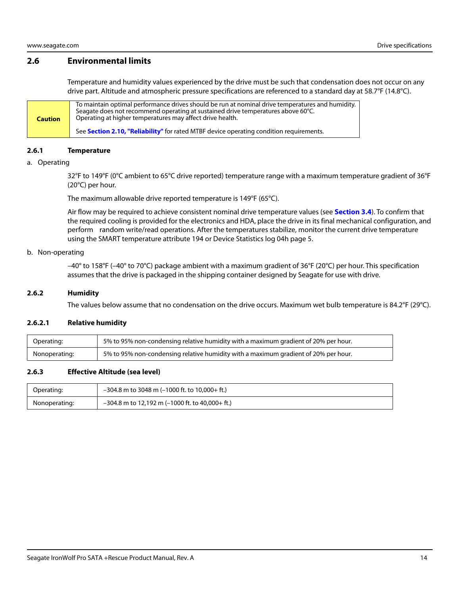# <span id="page-14-0"></span>**2.6 Environmental limits**

Temperature and humidity values experienced by the drive must be such that condensation does not occur on any drive part. Altitude and atmospheric pressure specifications are referenced to a standard day at 58.7°F (14.8°C).

**Caution** To maintain optimal performance drives should be run at nominal drive temperatures and humidity. Seagate does not recommend operating at sustained drive temperatures above 60°C. Operating at higher temperatures may affect drive health. See **[Section 2.10, "Reliability"](#page-17-0)** for rated MTBF device operating condition requirements.

#### <span id="page-14-1"></span>**2.6.1 Temperature**

#### a. Operating

32°F to 149°F (0°C ambient to 65°C drive reported) temperature range with a maximum temperature gradient of 36°F (20°C) per hour.

The maximum allowable drive reported temperature is 149°F (65°C).

Air flow may be required to achieve consistent nominal drive temperature values (see **[Section 3.4](#page-23-0)**). To confirm that the required cooling is provided for the electronics and HDA, place the drive in its final mechanical configuration, and perform random write/read operations. After the temperatures stabilize, monitor the current drive temperature using the SMART temperature attribute 194 or Device Statistics log 04h page 5.

#### b. Non-operating

–40° to 158°F (–40° to 70°C) package ambient with a maximum gradient of 36°F (20°C) per hour. This specification assumes that the drive is packaged in the shipping container designed by Seagate for use with drive.

#### <span id="page-14-2"></span>**2.6.2 Humidity**

The values below assume that no condensation on the drive occurs. Maximum wet bulb temperature is 84.2°F (29°C).

#### **2.6.2.1 Relative humidity**

| Operating:    | 5% to 95% non-condensing relative humidity with a maximum gradient of 20% per hour. |
|---------------|-------------------------------------------------------------------------------------|
| Nonoperating: | 5% to 95% non-condensing relative humidity with a maximum gradient of 20% per hour. |

#### <span id="page-14-3"></span>**2.6.3 Effective Altitude (sea level)**

| Operating:    | $-304.8$ m to 3048 m (-1000 ft. to 10,000+ ft.)   |
|---------------|---------------------------------------------------|
| Nonoperating: | $-304.8$ m to 12,192 m (-1000 ft. to 40,000+ ft.) |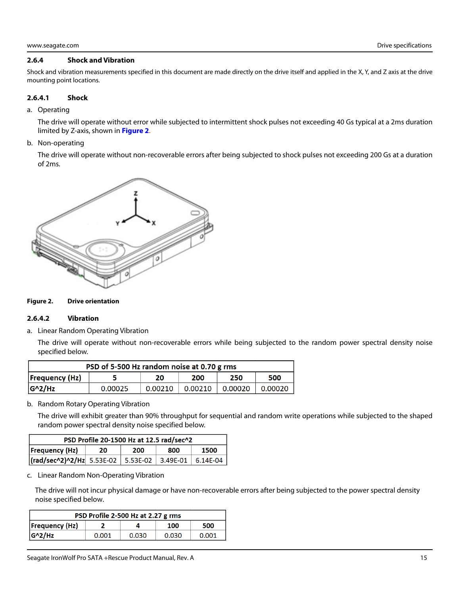#### <span id="page-15-0"></span>**2.6.4 Shock and Vibration**

Shock and vibration measurements specified in this document are made directly on the drive itself and applied in the X, Y, and Z axis at the drive mounting point locations.

#### **2.6.4.1 Shock**

a. Operating

The drive will operate without error while subjected to intermittent shock pulses not exceeding 40 Gs typical at a 2ms duration limited by Z-axis, shown in **[Figure 2](#page-15-1)**.

b. Non-operating

The drive will operate without non-recoverable errors after being subjected to shock pulses not exceeding 200 Gs at a duration of 2ms.



#### <span id="page-15-1"></span>**Figure 2. Drive orientation**

#### **2.6.4.2 Vibration**

a. Linear Random Operating Vibration

The drive will operate without non-recoverable errors while being subjected to the random power spectral density noise specified below.

| PSD of 5-500 Hz random noise at 0.70 g rms |         |         |         |         |         |
|--------------------------------------------|---------|---------|---------|---------|---------|
| $F_{\text{Frequency}}(Hz)$                 |         | 20      | 200     | 250     | 500     |
| $G^2/Hz$                                   | 0.00025 | 0.00210 | 0.00210 | 0.00020 | 0.00020 |

b. Random Rotary Operating Vibration

The drive will exhibit greater than 90% throughput for sequential and random write operations while subjected to the shaped random power spectral density noise specified below.

| PSD Profile 20-1500 Hz at 12.5 rad/sec^2                        |  |  |  |  |  |
|-----------------------------------------------------------------|--|--|--|--|--|
| <b>Frequency (Hz)</b><br>1500<br>800<br>200<br>20               |  |  |  |  |  |
| $ (\text{rad/sec}^2)^2$ /Hz 5.53E-02 5.53E-02 3.49E-01 6.14E-04 |  |  |  |  |  |

c. Linear Random Non-Operating Vibration

The drive will not incur physical damage or have non-recoverable errors after being subjected to the power spectral density noise specified below.

| PSD Profile 2-500 Hz at 2.27 g rms  |       |       |       |       |  |
|-------------------------------------|-------|-------|-------|-------|--|
| <b>Frequency (Hz)</b><br>100<br>500 |       |       |       |       |  |
| $G^2/HZ$                            | 0.001 | 0.030 | 0.030 | 0.001 |  |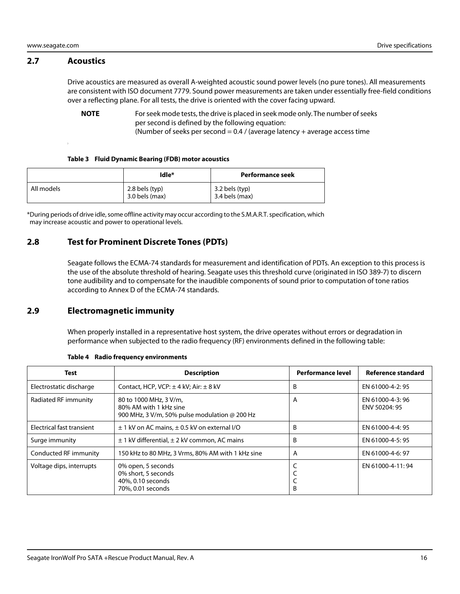#### <span id="page-16-0"></span>**2.7 Acoustics**

Drive acoustics are measured as overall A-weighted acoustic sound power levels (no pure tones). All measurements are consistent with ISO document 7779. Sound power measurements are taken under essentially free-field conditions over a reflecting plane. For all tests, the drive is oriented with the cover facing upward.

**NOTE** For seek mode tests, the drive is placed in seek mode only. The number of seeks per second is defined by the following equation:

(Number of seeks per second =  $0.4$  / (average latency + average access time

#### **Table 3 Fluid Dynamic Bearing (FDB) motor acoustics**

|            | Idle*                            | Performance seek                   |
|------------|----------------------------------|------------------------------------|
| All models | 2.8 bels (typ)<br>3.0 bels (max) | 3.2 bels (typ)<br>$3.4$ bels (max) |

\*During periods of drive idle, some offline activity may occur according to the S.M.A.R.T. specification, which may increase acoustic and power to operational levels.

# <span id="page-16-1"></span>**2.8 Test for Prominent Discrete Tones (PDTs)**

Seagate follows the ECMA-74 standards for measurement and identification of PDTs. An exception to this process is the use of the absolute threshold of hearing. Seagate uses this threshold curve (originated in ISO 389-7) to discern tone audibility and to compensate for the inaudible components of sound prior to computation of tone ratios according to Annex D of the ECMA-74 standards.

### <span id="page-16-2"></span>**2.9 Electromagnetic immunity**

When properly installed in a representative host system, the drive operates without errors or degradation in performance when subjected to the radio frequency (RF) environments defined in the following table:

| <b>Test</b>               | <b>Description</b>                                                                                       | <b>Performance level</b> | Reference standard                |
|---------------------------|----------------------------------------------------------------------------------------------------------|--------------------------|-----------------------------------|
| Electrostatic discharge   | Contact, HCP, VCP: $\pm$ 4 kV; Air: $\pm$ 8 kV                                                           | B                        | EN 61000-4-2: 95                  |
| Radiated RF immunity      | 80 to 1000 MHz, 3 V/m,<br>80% AM with 1 kHz sine<br>900 MHz, 3 V/m, 50% pulse modulation $\omega$ 200 Hz | A                        | EN 61000-4-3: 96<br>ENV 50204: 95 |
| Electrical fast transient | $\pm$ 1 kV on AC mains, $\pm$ 0.5 kV on external I/O                                                     | B                        | EN 61000-4-4: 95                  |
| Surge immunity            | $\pm$ 1 kV differential, $\pm$ 2 kV common, AC mains                                                     | B                        | EN 61000-4-5: 95                  |
| Conducted RF immunity     | 150 kHz to 80 MHz, 3 Vrms, 80% AM with 1 kHz sine                                                        | A                        | EN 61000-4-6: 97                  |
| Voltage dips, interrupts  | 0% open, 5 seconds<br>0% short, 5 seconds<br>40%, 0.10 seconds<br>70%, 0.01 seconds                      | B                        | EN 61000-4-11:94                  |

#### **Table 4 Radio frequency environments**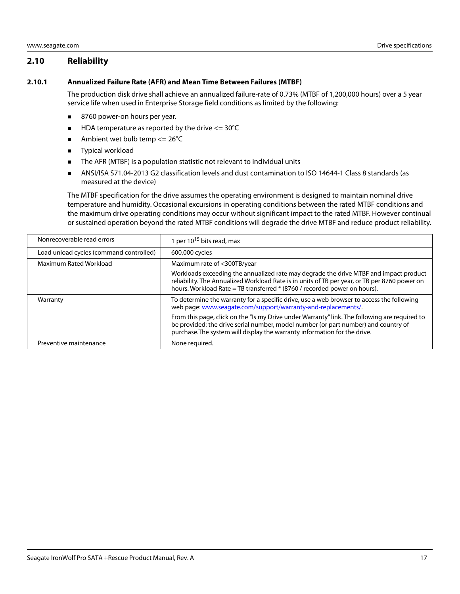# <span id="page-17-0"></span>**2.10 Reliability**

#### <span id="page-17-1"></span>**2.10.1 Annualized Failure Rate (AFR) and Mean Time Between Failures (MTBF)**

The production disk drive shall achieve an annualized failure-rate of 0.73% (MTBF of 1,200,000 hours) over a 5 year service life when used in Enterprise Storage field conditions as limited by the following:

- 8760 power-on hours per year.
- $\blacksquare$  HDA temperature as reported by the drive  $\lt$  = 30°C
- Ambient wet bulb temp  $\leq$  26°C
- **Typical workload**
- The AFR (MTBF) is a population statistic not relevant to individual units
- ANSI/ISA S71.04-2013 G2 classification levels and dust contamination to ISO 14644-1 Class 8 standards (as measured at the device)

The MTBF specification for the drive assumes the operating environment is designed to maintain nominal drive temperature and humidity. Occasional excursions in operating conditions between the rated MTBF conditions and the maximum drive operating conditions may occur without significant impact to the rated MTBF. However continual or sustained operation beyond the rated MTBF conditions will degrade the drive MTBF and reduce product reliability.

| Nonrecoverable read errors              | 1 per $10^{15}$ bits read, max                                                                                                                                                                                                                                      |
|-----------------------------------------|---------------------------------------------------------------------------------------------------------------------------------------------------------------------------------------------------------------------------------------------------------------------|
| Load unload cycles (command controlled) | 600,000 cycles                                                                                                                                                                                                                                                      |
| Maximum Rated Workload                  | Maximum rate of <300TB/year                                                                                                                                                                                                                                         |
|                                         | Workloads exceeding the annualized rate may degrade the drive MTBF and impact product<br>reliability. The Annualized Workload Rate is in units of TB per year, or TB per 8760 power on<br>hours. Workload Rate = TB transferred * (8760 / recorded power on hours). |
| Warranty                                | To determine the warranty for a specific drive, use a web browser to access the following<br>web page: www.seagate.com/support/warranty-and-replacements/.                                                                                                          |
|                                         | From this page, click on the "Is my Drive under Warranty" link. The following are required to<br>be provided: the drive serial number, model number (or part number) and country of<br>purchase. The system will display the warranty information for the drive.    |
| Preventive maintenance                  | None required.                                                                                                                                                                                                                                                      |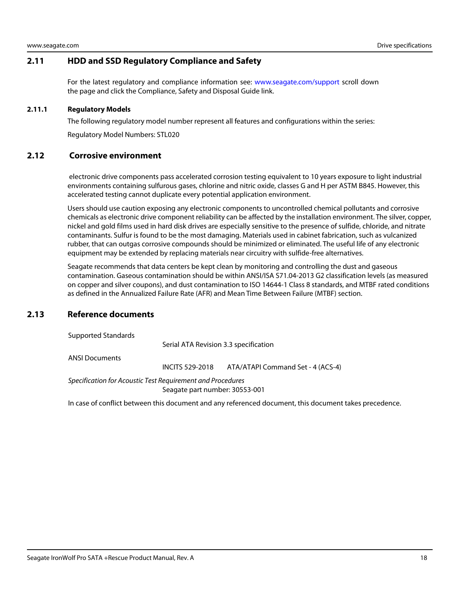# <span id="page-18-0"></span>**2.11 HDD and SSD Regulatory Compliance and Safety**

For the latest regulatory and compliance information see: [www.seagate.com/support](https://www.seagate.com/support) scroll down the page and click the Compliance, Safety and Disposal Guide link.

#### <span id="page-18-1"></span>**2.11.1 Regulatory Models**

The following regulatory model number represent all features and configurations within the series:

Regulatory Model Numbers: STL020

#### <span id="page-18-2"></span>**2.12 Corrosive environment**

 electronic drive components pass accelerated corrosion testing equivalent to 10 years exposure to light industrial environments containing sulfurous gases, chlorine and nitric oxide, classes G and H per ASTM B845. However, this accelerated testing cannot duplicate every potential application environment.

Users should use caution exposing any electronic components to uncontrolled chemical pollutants and corrosive chemicals as electronic drive component reliability can be affected by the installation environment. The silver, copper, nickel and gold films used in hard disk drives are especially sensitive to the presence of sulfide, chloride, and nitrate contaminants. Sulfur is found to be the most damaging. Materials used in cabinet fabrication, such as vulcanized rubber, that can outgas corrosive compounds should be minimized or eliminated. The useful life of any electronic equipment may be extended by replacing materials near circuitry with sulfide-free alternatives.

Seagate recommends that data centers be kept clean by monitoring and controlling the dust and gaseous contamination. Gaseous contamination should be within ANSI/ISA S71.04-2013 G2 classification levels (as measured on copper and silver coupons), and dust contamination to ISO 14644-1 Class 8 standards, and MTBF rated conditions as defined in the Annualized Failure Rate (AFR) and Mean Time Between Failure (MTBF) section.

# <span id="page-18-3"></span>**2.13 Reference documents**

Supported Standards

Serial ATA Revision 3.3 specification

ANSI Documents

INCITS 529-2018 ATA/ATAPI Command Set - 4 (ACS-4)

Specification for Acoustic Test Requirement and Procedures Seagate part number: 30553-001

In case of conflict between this document and any referenced document, this document takes precedence.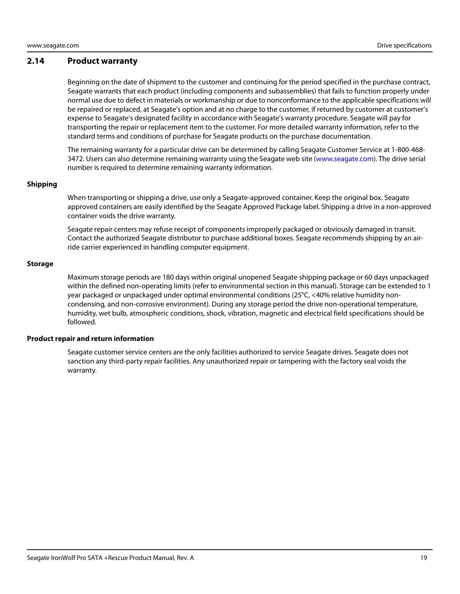#### <span id="page-19-0"></span>**2.14 Product warranty**

Beginning on the date of shipment to the customer and continuing for the period specified in the purchase contract, Seagate warrants that each product (including components and subassemblies) that fails to function properly under normal use due to defect in materials or workmanship or due to nonconformance to the applicable specifications will be repaired or replaced, at Seagate's option and at no charge to the customer, if returned by customer at customer's expense to Seagate's designated facility in accordance with Seagate's warranty procedure. Seagate will pay for transporting the repair or replacement item to the customer. For more detailed warranty information, refer to the standard terms and conditions of purchase for Seagate products on the purchase documentation.

[The remaining warranty for a particular drive can be determined by calling Seagate Customer Service at 1-800-468-](http://www.seagate.com) [3472. Users can also determine remaining warranty using the Seagate web site \(w](http://www.seagate.com)ww.seagate.com). The drive serial number is required to determine remaining warranty information.

#### **Shipping**

When transporting or shipping a drive, use only a Seagate-approved container. Keep the original box. Seagate approved containers are easily identified by the Seagate Approved Package label. Shipping a drive in a non-approved container voids the drive warranty.

Seagate repair centers may refuse receipt of components improperly packaged or obviously damaged in transit. Contact the authorized Seagate distributor to purchase additional boxes. Seagate recommends shipping by an airride carrier experienced in handling computer equipment.

#### **Storage**

Maximum storage periods are 180 days within original unopened Seagate shipping package or 60 days unpackaged within the defined non-operating limits (refer to environmental section in this manual). Storage can be extended to 1 year packaged or unpackaged under optimal environmental conditions (25°C, <40% relative humidity noncondensing, and non-corrosive environment). During any storage period the drive non-operational temperature, humidity, wet bulb, atmospheric conditions, shock, vibration, magnetic and electrical field specifications should be followed.

#### **Product repair and return information**

Seagate customer service centers are the only facilities authorized to service Seagate drives. Seagate does not sanction any third-party repair facilities. Any unauthorized repair or tampering with the factory seal voids the warranty.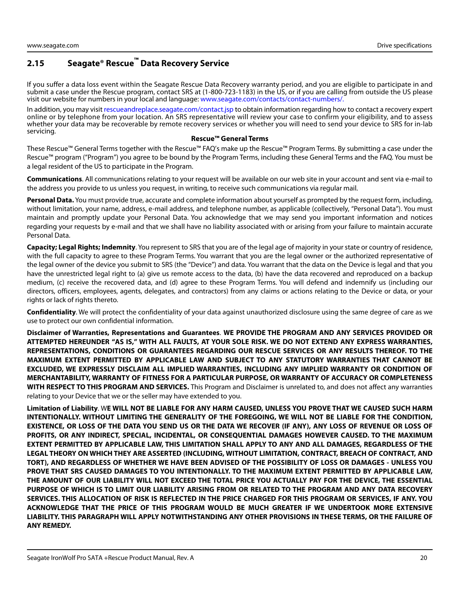# <span id="page-20-0"></span>**2.15 Seagate® Rescue™ Data Recovery Service**

If you suffer a data loss event within the Seagate Rescue Data Recovery warranty period, and you are eligible to participate in and submit a case under the Rescue program, contact SRS at (1-800-723-1183) in the US, or if you are calling from outside the US please visit our website for numbers in your local and language: [www.seagate.com/contacts/contact-numbers/.](http://www.seagate.com/contacts/contact-numbers/)

[In addition, you may visit](http://rescueandreplace.seagate.com/contact.jsp) rescueandreplace.seagate.com/contact.jsp to obtain information regarding how to contact a recovery expert online or by telephone from your location. An SRS representative will review your case to confirm your eligibility, and to assess whether your data may be recoverable by remote recovery services or whether you will need to send your device to SRS for in-lab servicing.

#### **Rescue™ General Terms**

These Rescue™ General Terms together with the Rescue™ FAQ's make up the Rescue™ Program Terms. By submitting a case under the Rescue™ program ("Program") you agree to be bound by the Program Terms, including these General Terms and the FAQ. You must be a legal resident of the US to participate in the Program.

**Communications**. All communications relating to your request will be available on our web site in your account and sent via e-mail to the address you provide to us unless you request, in writing, to receive such communications via regular mail.

**Personal Data.** You must provide true, accurate and complete information about yourself as prompted by the request form, including, without limitation, your name, address, e-mail address, and telephone number, as applicable (collectively, "Personal Data"). You must maintain and promptly update your Personal Data. You acknowledge that we may send you important information and notices regarding your requests by e-mail and that we shall have no liability associated with or arising from your failure to maintain accurate Personal Data.

**Capacity; Legal Rights; Indemnity**. You represent to SRS that you are of the legal age of majority in your state or country of residence, with the full capacity to agree to these Program Terms. You warrant that you are the legal owner or the authorized representative of the legal owner of the device you submit to SRS (the "Device") and data. You warrant that the data on the Device is legal and that you have the unrestricted legal right to (a) give us remote access to the data, (b) have the data recovered and reproduced on a backup medium, (c) receive the recovered data, and (d) agree to these Program Terms. You will defend and indemnify us (including our directors, officers, employees, agents, delegates, and contractors) from any claims or actions relating to the Device or data, or your rights or lack of rights thereto.

**Confidentiality**. We will protect the confidentiality of your data against unauthorized disclosure using the same degree of care as we use to protect our own confidential information.

**Disclaimer of Warranties, Representations and Guarantees**. **WE PROVIDE THE PROGRAM AND ANY SERVICES PROVIDED OR ATTEMPTED HEREUNDER "AS IS," WITH ALL FAULTS, AT YOUR SOLE RISK. WE DO NOT EXTEND ANY EXPRESS WARRANTIES, REPRESENTATIONS, CONDITIONS OR GUARANTEES REGARDING OUR RESCUE SERVICES OR ANY RESULTS THEREOF. TO THE MAXIMUM EXTENT PERMITTED BY APPLICABLE LAW AND SUBJECT TO ANY STATUTORY WARRANTIES THAT CANNOT BE EXCLUDED, WE EXPRESSLY DISCLAIM ALL IMPLIED WARRANTIES, INCLUDING ANY IMPLIED WARRANTY OR CONDITION OF MERCHANTABILITY, WARRANTY OF FITNESS FOR A PARTICULAR PURPOSE, OR WARRANTY OF ACCURACY OR COMPLETENESS WITH RESPECT TO THIS PROGRAM AND SERVICES.** This Program and Disclaimer is unrelated to, and does not affect any warranties relating to your Device that we or the seller may have extended to you.

**Limitation of Liability**. W**E WILL NOT BE LIABLE FOR ANY HARM CAUSED, UNLESS YOU PROVE THAT WE CAUSED SUCH HARM INTENTIONALLY. WITHOUT LIMITING THE GENERALITY OF THE FOREGOING, WE WILL NOT BE LIABLE FOR THE CONDITION, EXISTENCE, OR LOSS OF THE DATA YOU SEND US OR THE DATA WE RECOVER (IF ANY), ANY LOSS OF REVENUE OR LOSS OF PROFITS, OR ANY INDIRECT, SPECIAL, INCIDENTAL, OR CONSEQUENTIAL DAMAGES HOWEVER CAUSED. TO THE MAXIMUM EXTENT PERMITTED BY APPLICABLE LAW, THIS LIMITATION SHALL APPLY TO ANY AND ALL DAMAGES, REGARDLESS OF THE LEGAL THEORY ON WHICH THEY ARE ASSERTED (INCLUDING, WITHOUT LIMITATION, CONTRACT, BREACH OF CONTRACT, AND TORT), AND REGARDLESS OF WHETHER WE HAVE BEEN ADVISED OF THE POSSIBILITY OF LOSS OR DAMAGES - UNLESS YOU PROVE THAT SRS CAUSED DAMAGES TO YOU INTENTIONALLY. TO THE MAXIMUM EXTENT PERMITTED BY APPLICABLE LAW, THE AMOUNT OF OUR LIABILITY WILL NOT EXCEED THE TOTAL PRICE YOU ACTUALLY PAY FOR THE DEVICE, THE ESSENTIAL PURPOSE OF WHICH IS TO LIMIT OUR LIABILITY ARISING FROM OR RELATED TO THE PROGRAM AND ANY DATA RECOVERY SERVICES. THIS ALLOCATION OF RISK IS REFLECTED IN THE PRICE CHARGED FOR THIS PROGRAM OR SERVICES, IF ANY. YOU ACKNOWLEDGE THAT THE PRICE OF THIS PROGRAM WOULD BE MUCH GREATER IF WE UNDERTOOK MORE EXTENSIVE LIABILITY. THIS PARAGRAPH WILL APPLY NOTWITHSTANDING ANY OTHER PROVISIONS IN THESE TERMS, OR THE FAILURE OF ANY REMEDY.**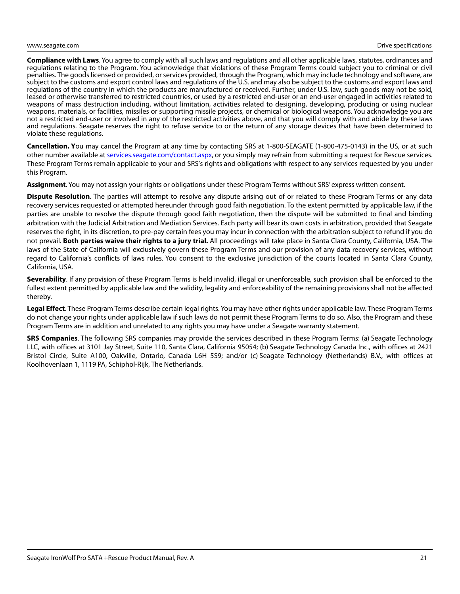**Compliance with Laws**. You agree to comply with all such laws and regulations and all other applicable laws, statutes, ordinances and regulations relating to the Program. You acknowledge that violations of these Program Terms could subject you to criminal or civil penalties. The goods licensed or provided, or services provided, through the Program, which may include technology and software, are subject to the customs and export control laws and regulations of the U.S. and may also be subject to the customs and export laws and regulations of the country in which the products are manufactured or received. Further, under U.S. law, such goods may not be sold, leased or otherwise transferred to restricted countries, or used by a restricted end-user or an end-user engaged in activities related to weapons of mass destruction including, without limitation, activities related to designing, developing, producing or using nuclear weapons, materials, or facilities, missiles or supporting missile projects, or chemical or biological weapons. You acknowledge you are not a restricted end-user or involved in any of the restricted activities above, and that you will comply with and abide by these laws and regulations. Seagate reserves the right to refuse service to or the return of any storage devices that have been determined to violate these regulations.

**Cancellation. Y**[ou may cancel the Program at any time by contacting SRS at 1-800-SEAGATE \(1-800-475-0143\) in the US, or at such](http://services.seagate.com/contact.aspx) [other number available at](http://services.seagate.com/contact.aspx) services.seagate.com/contact.aspx, or you simply may refrain from submitting a request for Rescue services. These Program Terms remain applicable to your and SRS's rights and obligations with respect to any services requested by you under this Program.

**Assignment**. You may not assign your rights or obligations under these Program Terms without SRS' express written consent.

**Dispute Resolution**. The parties will attempt to resolve any dispute arising out of or related to these Program Terms or any data recovery services requested or attempted hereunder through good faith negotiation. To the extent permitted by applicable law, if the parties are unable to resolve the dispute through good faith negotiation, then the dispute will be submitted to final and binding arbitration with the Judicial Arbitration and Mediation Services. Each party will bear its own costs in arbitration, provided that Seagate reserves the right, in its discretion, to pre-pay certain fees you may incur in connection with the arbitration subject to refund if you do not prevail. **Both parties waive their rights to a jury trial.** All proceedings will take place in Santa Clara County, California, USA. The laws of the State of California will exclusively govern these Program Terms and our provision of any data recovery services, without regard to California's conflicts of laws rules. You consent to the exclusive jurisdiction of the courts located in Santa Clara County, California, USA.

**Severability**. If any provision of these Program Terms is held invalid, illegal or unenforceable, such provision shall be enforced to the fullest extent permitted by applicable law and the validity, legality and enforceability of the remaining provisions shall not be affected thereby.

**Legal Effect**. These Program Terms describe certain legal rights. You may have other rights under applicable law. These Program Terms do not change your rights under applicable law if such laws do not permit these Program Terms to do so. Also, the Program and these Program Terms are in addition and unrelated to any rights you may have under a Seagate warranty statement.

**SRS Companies**. The following SRS companies may provide the services described in these Program Terms: (a) Seagate Technology LLC, with offices at 3101 Jay Street, Suite 110, Santa Clara, California 95054; (b) Seagate Technology Canada Inc., with offices at 2421 Bristol Circle, Suite A100, Oakville, Ontario, Canada L6H 5S9; and/or (c) Seagate Technology (Netherlands) B.V., with offices at Koolhovenlaan 1, 1119 PA, Schiphol-Rijk, The Netherlands.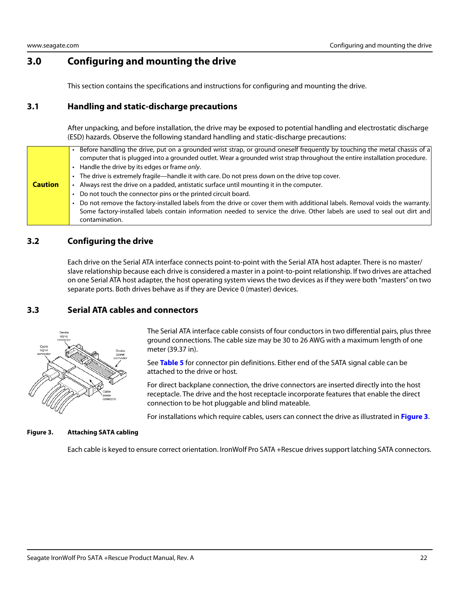# <span id="page-22-0"></span>**3.0 Configuring and mounting the drive**

This section contains the specifications and instructions for configuring and mounting the drive.

# <span id="page-22-1"></span>**3.1 Handling and static-discharge precautions**

After unpacking, and before installation, the drive may be exposed to potential handling and electrostatic discharge (ESD) hazards. Observe the following standard handling and static-discharge precautions:

|                | Before handling the drive, put on a grounded wrist strap, or ground oneself frequently by touching the metal chassis of a<br>computer that is plugged into a grounded outlet. Wear a grounded wrist strap throughout the entire installation procedure.  |
|----------------|----------------------------------------------------------------------------------------------------------------------------------------------------------------------------------------------------------------------------------------------------------|
|                | Handle the drive by its edges or frame only.                                                                                                                                                                                                             |
|                | The drive is extremely fragile—handle it with care. Do not press down on the drive top cover.                                                                                                                                                            |
| <b>Caution</b> | Always rest the drive on a padded, antistatic surface until mounting it in the computer.                                                                                                                                                                 |
|                | Do not touch the connector pins or the printed circuit board.                                                                                                                                                                                            |
|                | Do not remove the factory-installed labels from the drive or cover them with additional labels. Removal voids the warranty.<br>Some factory-installed labels contain information needed to service the drive. Other labels are used to seal out dirt and |
|                | contamination.                                                                                                                                                                                                                                           |

# <span id="page-22-2"></span>**3.2 Configuring the drive**

Each drive on the Serial ATA interface connects point-to-point with the Serial ATA host adapter. There is no master/ slave relationship because each drive is considered a master in a point-to-point relationship. If two drives are attached on one Serial ATA host adapter, the host operating system views the two devices as if they were both "masters" on two separate ports. Both drives behave as if they are Device 0 (master) devices.

# <span id="page-22-3"></span>**3.3 Serial ATA cables and connectors**



The Serial ATA interface cable consists of four conductors in two differential pairs, plus three ground connections. The cable size may be 30 to 26 AWG with a maximum length of one meter (39.37 in).

See **Table 5** for connector pin definitions. Either end of the SATA signal cable can be attached to the drive or host.

For direct backplane connection, the drive connectors are inserted directly into the host receptacle. The drive and the host receptacle incorporate features that enable the direct connection to be hot pluggable and blind mateable.

For installations which require cables, users can connect the drive as illustrated in **[Figure 3](#page-22-4)**.

#### <span id="page-22-4"></span>**Figure 3. Attaching SATA cabling**

Each cable is keyed to ensure correct orientation. IronWolf Pro SATA +Rescue drives support latching SATA connectors.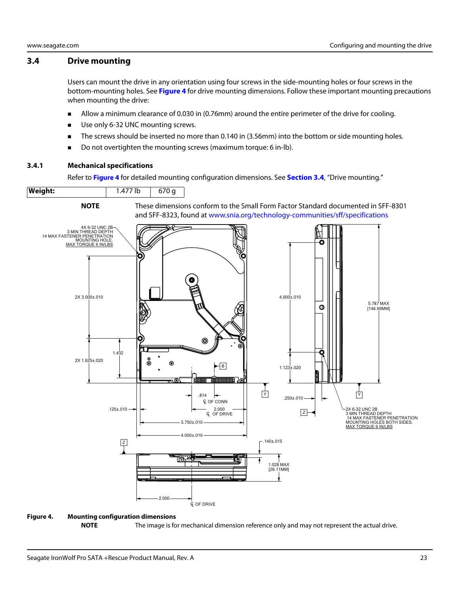#### <span id="page-23-0"></span>**3.4 Drive mounting**

Users can mount the drive in any orientation using four screws in the side-mounting holes or four screws in the bottom-mounting holes. See **[Figure 4](#page-23-2)** for drive mounting dimensions. Follow these important mounting precautions when mounting the drive:

- Allow a minimum clearance of 0.030 in (0.76mm) around the entire perimeter of the drive for cooling.
- Use only 6-32 UNC mounting screws.
- The screws should be inserted no more than 0.140 in (3.56mm) into the bottom or side mounting holes.
- Do not overtighten the mounting screws (maximum torque: 6 in-lb).

#### <span id="page-23-1"></span>**3.4.1 Mechanical specifications**

**Weight:** | 1.477 lb | 670 g

Refer to **[Figure 4](#page-23-2)** for detailed mounting configuration dimensions. See **[Section 3.4](#page-23-0)**, "Drive mounting."



#### <span id="page-23-2"></span>**Figure 4. Mounting configuration dimensions**

**NOTE** The image is for mechanical dimension reference only and may not represent the actual drive.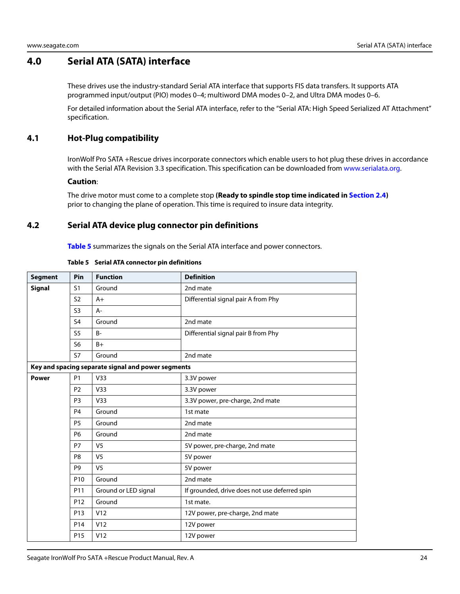# <span id="page-24-0"></span>**4.0 Serial ATA (SATA) interface**

These drives use the industry-standard Serial ATA interface that supports FIS data transfers. It supports ATA programmed input/output (PIO) modes 0–4; multiword DMA modes 0–2, and Ultra DMA modes 0–6.

For detailed information about the Serial ATA interface, refer to the "Serial ATA: High Speed Serialized AT Attachment" specification.

# <span id="page-24-1"></span>**4.1 Hot-Plug compatibility**

IronWolf Pro SATA +Rescue drives incorporate connectors which enable users to hot plug these drives in accordance with the Serial ATA Revision 3.3 specification. This specification can be downloaded from www.serialata.org.

#### **Caution**:

The drive motor must come to a complete stop **(Ready to spindle stop time indicated in [Section 2.4](#page-9-3))** prior to changing the plane of operation. This time is required to insure data integrity.

# <span id="page-24-2"></span>**4.2 Serial ATA device plug connector pin definitions**

**Table 5** summarizes the signals on the Serial ATA interface and power connectors.

| <b>Segment</b> | Pin             | <b>Function</b>                                    | <b>Definition</b>                             |
|----------------|-----------------|----------------------------------------------------|-----------------------------------------------|
| <b>Signal</b>  | S <sub>1</sub>  | Ground                                             | 2nd mate                                      |
|                | S <sub>2</sub>  | $A+$                                               | Differential signal pair A from Phy           |
|                | S <sub>3</sub>  | A-                                                 |                                               |
|                | S <sub>4</sub>  | Ground                                             | 2nd mate                                      |
|                | S <sub>5</sub>  | $B -$                                              | Differential signal pair B from Phy           |
|                | S <sub>6</sub>  | $B+$                                               |                                               |
|                | S7              | Ground                                             | 2nd mate                                      |
|                |                 | Key and spacing separate signal and power segments |                                               |
| <b>Power</b>   | <b>P1</b>       | V33                                                | 3.3V power                                    |
|                | P <sub>2</sub>  | V <sub>33</sub>                                    | 3.3V power                                    |
|                | P <sub>3</sub>  | V33                                                | 3.3V power, pre-charge, 2nd mate              |
|                | P <sub>4</sub>  | Ground                                             | 1st mate                                      |
|                | P <sub>5</sub>  | Ground                                             | 2nd mate                                      |
|                | <b>P6</b>       | Ground                                             | 2nd mate                                      |
|                | <b>P7</b>       | V <sub>5</sub>                                     | 5V power, pre-charge, 2nd mate                |
|                | P <sub>8</sub>  | V <sub>5</sub>                                     | 5V power                                      |
|                | P <sub>9</sub>  | V <sub>5</sub>                                     | 5V power                                      |
|                | P <sub>10</sub> | Ground                                             | 2nd mate                                      |
|                | P11             | Ground or LED signal                               | If grounded, drive does not use deferred spin |
|                | P <sub>12</sub> | Ground                                             | 1st mate.                                     |
|                | P <sub>13</sub> | V12                                                | 12V power, pre-charge, 2nd mate               |
|                | P <sub>14</sub> | V12                                                | 12V power                                     |
|                | P <sub>15</sub> | V12                                                | 12V power                                     |

#### **Table 5 Serial ATA connector pin definitions**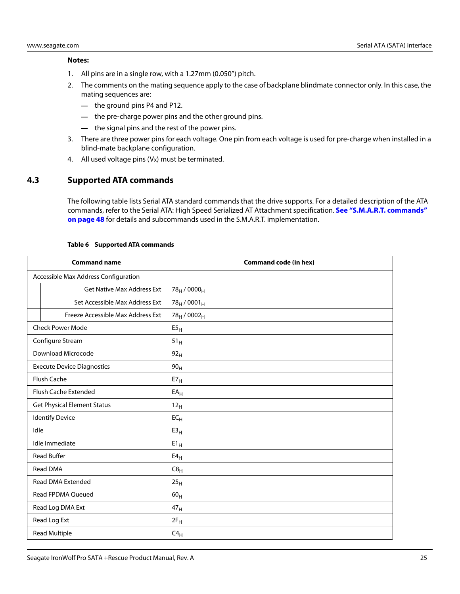#### **Notes:**

- 1. All pins are in a single row, with a 1.27mm (0.050") pitch.
- 2. The comments on the mating sequence apply to the case of backplane blindmate connector only. In this case, the mating sequences are:
	- **—** the ground pins P4 and P12.
	- **—** the pre-charge power pins and the other ground pins.
	- **—** the signal pins and the rest of the power pins.
- 3. There are three power pins for each voltage. One pin from each voltage is used for pre-charge when installed in a blind-mate backplane configuration.
- 4. All used voltage pins (Vx) must be terminated.

# <span id="page-25-0"></span>**4.3 Supported ATA commands**

The following table lists Serial ATA standard commands that the drive supports. For a detailed description of the ATA commands, refer to the Serial ATA: High Speed Serialized AT Attachment specification. **[See "S.M.A.R.T. commands"](#page-48-0)  [on page 48](#page-48-0)** for details and subcommands used in the S.M.A.R.T. implementation.

<span id="page-25-1"></span>

| <b>Command name</b>                  |                                   | <b>Command code (in hex)</b>        |
|--------------------------------------|-----------------------------------|-------------------------------------|
| Accessible Max Address Configuration |                                   |                                     |
|                                      | Get Native Max Address Ext        | 78 <sub>H</sub> / 0000 <sub>H</sub> |
|                                      | Set Accessible Max Address Ext    | $78_H / 0001_H$                     |
|                                      | Freeze Accessible Max Address Ext | 78 <sub>H</sub> / 0002 <sub>H</sub> |
|                                      | <b>Check Power Mode</b>           | E5 <sub>H</sub>                     |
|                                      | Configure Stream                  | 51 <sub>H</sub>                     |
|                                      | Download Microcode                | 92 <sub>H</sub>                     |
|                                      | <b>Execute Device Diagnostics</b> | 90 <sub>H</sub>                     |
|                                      | Flush Cache                       | E7 <sub>H</sub>                     |
|                                      | Flush Cache Extended              | $EA_H$                              |
| <b>Get Physical Element Status</b>   |                                   | 12 <sub>H</sub>                     |
| <b>Identify Device</b>               |                                   | $EC_{H}$                            |
| Idle                                 |                                   | E3 <sub>H</sub>                     |
|                                      | Idle Immediate                    | $E1_H$                              |
|                                      | <b>Read Buffer</b>                | E4 <sub>H</sub>                     |
| Read DMA                             |                                   | C8 <sub>H</sub>                     |
| <b>Read DMA Extended</b>             |                                   | 25 <sub>H</sub>                     |
| Read FPDMA Queued                    |                                   | 60 <sub>H</sub>                     |
| Read Log DMA Ext                     |                                   | 47 <sub>H</sub>                     |
| Read Log Ext                         |                                   | $2F_H$                              |
| Read Multiple                        |                                   | $C4_H$                              |

#### **Table 6 Supported ATA commands**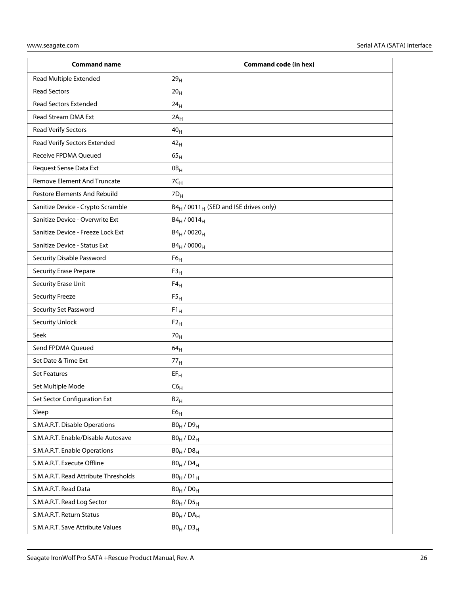| <b>Command name</b>                  | <b>Command code (in hex)</b>                                  |
|--------------------------------------|---------------------------------------------------------------|
| Read Multiple Extended               | 29 <sub>H</sub>                                               |
| <b>Read Sectors</b>                  | 20 <sub>H</sub>                                               |
| <b>Read Sectors Extended</b>         | 24 <sub>H</sub>                                               |
| Read Stream DMA Ext                  | $2A_H$                                                        |
| <b>Read Verify Sectors</b>           | 40 <sub>H</sub>                                               |
| Read Verify Sectors Extended         | 42 <sub>H</sub>                                               |
| Receive FPDMA Queued                 | 65 <sub>H</sub>                                               |
| Request Sense Data Ext               | $0B_H$                                                        |
| <b>Remove Element And Truncate</b>   | 7C <sub>H</sub>                                               |
| <b>Restore Elements And Rebuild</b>  | $7D_H$                                                        |
| Sanitize Device - Crypto Scramble    | B4 <sub>H</sub> / 0011 <sub>H</sub> (SED and ISE drives only) |
| Sanitize Device - Overwrite Ext      | $B4_H / 0014_H$                                               |
| Sanitize Device - Freeze Lock Ext    | B4 <sub>H</sub> / 0020 <sub>H</sub>                           |
| Sanitize Device - Status Ext         | $B4_H / 0000_H$                                               |
| Security Disable Password            | F6 <sub>H</sub>                                               |
| <b>Security Erase Prepare</b>        | F3 <sub>H</sub>                                               |
| Security Erase Unit                  | $F4_H$                                                        |
| <b>Security Freeze</b>               | F5 <sub>H</sub>                                               |
| Security Set Password                | $F1_H$                                                        |
| <b>Security Unlock</b>               | $F2_H$                                                        |
| Seek                                 | 70 <sub>H</sub>                                               |
| Send FPDMA Queued                    | 64 <sub>H</sub>                                               |
| Set Date & Time Ext                  | 77 <sub>H</sub>                                               |
| <b>Set Features</b>                  | $EF_H$                                                        |
| Set Multiple Mode                    | $C6_H$                                                        |
| Set Sector Configuration Ext         | B2 <sub>H</sub>                                               |
| Sleep                                | E6 <sub>H</sub>                                               |
| S.M.A.R.T. Disable Operations        | $B0_H / D9_H$                                                 |
| S.M.A.R.T. Enable/Disable Autosave   | $B0_H / D2_H$                                                 |
| S.M.A.R.T. Enable Operations         | $B0_H / D8_H$                                                 |
| S.M.A.R.T. Execute Offline           | $B0_H$ / $D4_H$                                               |
| S.M.A.R.T. Read Attribute Thresholds | $B0_H/D1_H$                                                   |
| S.M.A.R.T. Read Data                 | $B0_H / D0_H$                                                 |
| S.M.A.R.T. Read Log Sector           | $B0_H / D5_H$                                                 |
| S.M.A.R.T. Return Status             | $B0_H$ / $DA_H$                                               |
| S.M.A.R.T. Save Attribute Values     | $B0_H / D3_H$                                                 |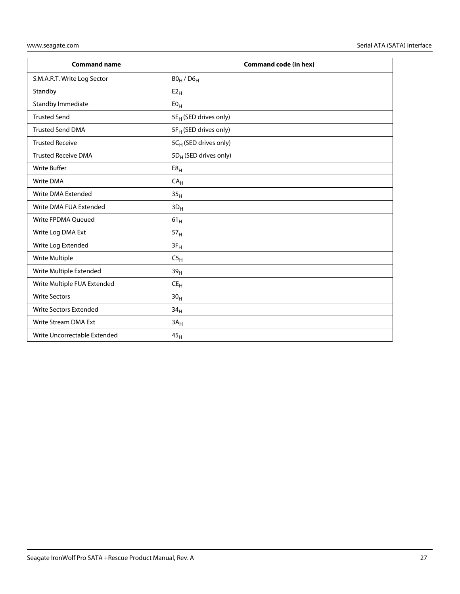| <b>Command name</b>           | <b>Command code (in hex)</b>      |
|-------------------------------|-----------------------------------|
| S.M.A.R.T. Write Log Sector   | $B0_H$ / $D6_H$                   |
| Standby                       | E2 <sub>H</sub>                   |
| Standby Immediate             | E0 <sub>H</sub>                   |
| <b>Trusted Send</b>           | 5E <sub>H</sub> (SED drives only) |
| <b>Trusted Send DMA</b>       | 5F <sub>H</sub> (SED drives only) |
| <b>Trusted Receive</b>        | 5C <sub>H</sub> (SED drives only) |
| <b>Trusted Receive DMA</b>    | 5D <sub>H</sub> (SED drives only) |
| <b>Write Buffer</b>           | E8 <sub>H</sub>                   |
| <b>Write DMA</b>              | CA <sub>H</sub>                   |
| Write DMA Extended            | 35 <sub>H</sub>                   |
| Write DMA FUA Extended        | $3D_H$                            |
| Write FPDMA Queued            | 61 <sub>H</sub>                   |
| Write Log DMA Ext             | 57 <sub>H</sub>                   |
| Write Log Extended            | $3F_H$                            |
| Write Multiple                | C5 <sub>H</sub>                   |
| Write Multiple Extended       | 39 <sub>H</sub>                   |
| Write Multiple FUA Extended   | CE <sub>H</sub>                   |
| <b>Write Sectors</b>          | 30 <sub>H</sub>                   |
| <b>Write Sectors Extended</b> | 34 <sub>H</sub>                   |
| <b>Write Stream DMA Ext</b>   | $3A_H$                            |
| Write Uncorrectable Extended  | 45 <sub>H</sub>                   |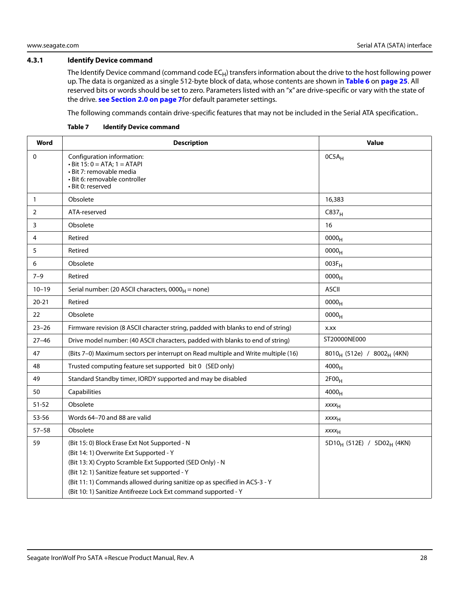#### <span id="page-28-0"></span>**4.3.1 Identify Device command**

The Identify Device command (command code  $EC_H$ ) transfers information about the drive to the host following power up. The data is organized as a single 512-byte block of data, whose contents are shown in **[Table 6](#page-25-1)** on **[page 25](#page-25-1)**. All reserved bits or words should be set to zero. Parameters listed with an "x" are drive-specific or vary with the state of the drive. **[see Section 2.0 on page 7](#page-7-0)**for default parameter settings.

The following commands contain drive-specific features that may not be included in the Serial ATA specification..

| Word         | <b>Description</b>                                                                                                                                                                                                                                                                                                                                    | <b>Value</b>                                       |
|--------------|-------------------------------------------------------------------------------------------------------------------------------------------------------------------------------------------------------------------------------------------------------------------------------------------------------------------------------------------------------|----------------------------------------------------|
| $\mathbf 0$  | Configuration information:<br>$\cdot$ Bit 15: 0 = ATA; 1 = ATAPI<br>· Bit 7: removable media<br>· Bit 6: removable controller<br>• Bit 0: reserved                                                                                                                                                                                                    | $OCSA_H$                                           |
| $\mathbf{1}$ | Obsolete                                                                                                                                                                                                                                                                                                                                              | 16,383                                             |
| 2            | ATA-reserved                                                                                                                                                                                                                                                                                                                                          | C837 <sub>H</sub>                                  |
| 3            | Obsolete                                                                                                                                                                                                                                                                                                                                              | 16                                                 |
| 4            | Retired                                                                                                                                                                                                                                                                                                                                               | 0000 <sub>H</sub>                                  |
| 5            | Retired                                                                                                                                                                                                                                                                                                                                               | 0000 <sub>H</sub>                                  |
| 6            | Obsolete                                                                                                                                                                                                                                                                                                                                              | $003F_H$                                           |
| $7 - 9$      | Retired                                                                                                                                                                                                                                                                                                                                               | 0000 <sub>H</sub>                                  |
| $10 - 19$    | Serial number: (20 ASCII characters, $0000_H$ = none)                                                                                                                                                                                                                                                                                                 | <b>ASCII</b>                                       |
| $20 - 21$    | Retired                                                                                                                                                                                                                                                                                                                                               | 0000 <sub>H</sub>                                  |
| 22           | Obsolete                                                                                                                                                                                                                                                                                                                                              | 0000 <sub>H</sub>                                  |
| $23 - 26$    | Firmware revision (8 ASCII character string, padded with blanks to end of string)                                                                                                                                                                                                                                                                     | X.XX                                               |
| $27 - 46$    | Drive model number: (40 ASCII characters, padded with blanks to end of string)                                                                                                                                                                                                                                                                        | ST20000NE000                                       |
| 47           | (Bits 7-0) Maximum sectors per interrupt on Read multiple and Write multiple (16)                                                                                                                                                                                                                                                                     | 8010 <sub>H</sub> (512e) / 8002 <sub>H</sub> (4KN) |
| 48           | Trusted computing feature set supported bit 0 (SED only)                                                                                                                                                                                                                                                                                              | 4000 <sub>H</sub>                                  |
| 49           | Standard Standby timer, IORDY supported and may be disabled                                                                                                                                                                                                                                                                                           | 2F00 <sub>H</sub>                                  |
| 50           | Capabilities                                                                                                                                                                                                                                                                                                                                          | $4000_H$                                           |
| $51 - 52$    | Obsolete                                                                                                                                                                                                                                                                                                                                              | <b>XXXX<sub>H</sub></b>                            |
| 53-56        | Words 64-70 and 88 are valid                                                                                                                                                                                                                                                                                                                          | XXXH                                               |
| $57 - 58$    | Obsolete                                                                                                                                                                                                                                                                                                                                              | XXXH                                               |
| 59           | (Bit 15: 0) Block Erase Ext Not Supported - N<br>(Bit 14: 1) Overwrite Ext Supported - Y<br>(Bit 13: X) Crypto Scramble Ext Supported (SED Only) - N<br>(Bit 12: 1) Sanitize feature set supported - Y<br>(Bit 11: 1) Commands allowed during sanitize op as specified in ACS-3 - Y<br>(Bit 10: 1) Sanitize Antifreeze Lock Ext command supported - Y | 5D10 <sub>H</sub> (512E) / 5D02 <sub>H</sub> (4KN) |

**Table 7 Identify Device command**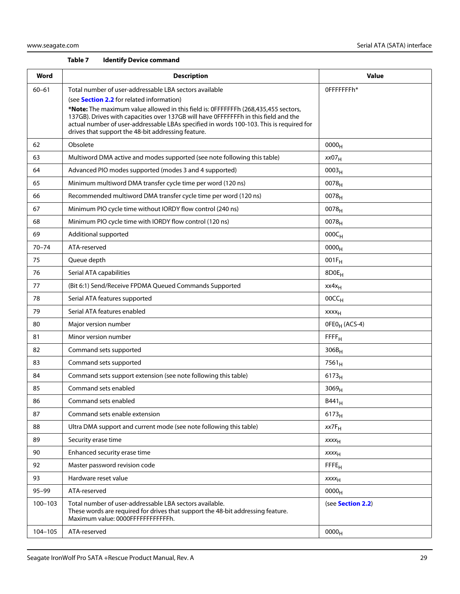#### **Table 7 Identify Device command**

| Word        | <b>Description</b>                                                                                                                                                                                                                                                                                                                                                                                                                       | <b>Value</b>              |
|-------------|------------------------------------------------------------------------------------------------------------------------------------------------------------------------------------------------------------------------------------------------------------------------------------------------------------------------------------------------------------------------------------------------------------------------------------------|---------------------------|
| $60 - 61$   | Total number of user-addressable LBA sectors available<br>(see <b>Section 2.2</b> for related information)<br>*Note: The maximum value allowed in this field is: 0FFFFFFFh (268,435,455 sectors,<br>137GB). Drives with capacities over 137GB will have 0FFFFFFFh in this field and the<br>actual number of user-addressable LBAs specified in words 100-103. This is required for<br>drives that support the 48-bit addressing feature. | 0FFFFFFFh*                |
| 62          | Obsolete                                                                                                                                                                                                                                                                                                                                                                                                                                 | 0000 <sub>H</sub>         |
| 63          | Multiword DMA active and modes supported (see note following this table)                                                                                                                                                                                                                                                                                                                                                                 | xx07 <sub>H</sub>         |
| 64          | Advanced PIO modes supported (modes 3 and 4 supported)                                                                                                                                                                                                                                                                                                                                                                                   | 0003 <sub>H</sub>         |
| 65          | Minimum multiword DMA transfer cycle time per word (120 ns)                                                                                                                                                                                                                                                                                                                                                                              | $0078_{H}$                |
| 66          | Recommended multiword DMA transfer cycle time per word (120 ns)                                                                                                                                                                                                                                                                                                                                                                          | $0078_{H}$                |
| 67          | Minimum PIO cycle time without IORDY flow control (240 ns)                                                                                                                                                                                                                                                                                                                                                                               | 0078 <sub>H</sub>         |
| 68          | Minimum PIO cycle time with IORDY flow control (120 ns)                                                                                                                                                                                                                                                                                                                                                                                  | $0078_H$                  |
| 69          | Additional supported                                                                                                                                                                                                                                                                                                                                                                                                                     | $000C_H$                  |
| $70 - 74$   | ATA-reserved                                                                                                                                                                                                                                                                                                                                                                                                                             | $0000_{H}$                |
| 75          | Queue depth                                                                                                                                                                                                                                                                                                                                                                                                                              | $001F_H$                  |
| 76          | Serial ATA capabilities                                                                                                                                                                                                                                                                                                                                                                                                                  | 8D0E <sub>H</sub>         |
| 77          | (Bit 6:1) Send/Receive FPDMA Queued Commands Supported                                                                                                                                                                                                                                                                                                                                                                                   | $xx4x_H$                  |
| 78          | Serial ATA features supported                                                                                                                                                                                                                                                                                                                                                                                                            | 00CC <sub>H</sub>         |
| 79          | Serial ATA features enabled                                                                                                                                                                                                                                                                                                                                                                                                              | $xxxx_H$                  |
| 80          | Major version number                                                                                                                                                                                                                                                                                                                                                                                                                     | OFEO <sub>H</sub> (ACS-4) |
| 81          | Minor version number                                                                                                                                                                                                                                                                                                                                                                                                                     | $F$ $F$ $F$ $H$           |
| 82          | Command sets supported                                                                                                                                                                                                                                                                                                                                                                                                                   | $306B_H$                  |
| 83          | Command sets supported                                                                                                                                                                                                                                                                                                                                                                                                                   | $7561_H$                  |
| 84          | Command sets support extension (see note following this table)                                                                                                                                                                                                                                                                                                                                                                           | $6173_H$                  |
| 85          | Command sets enabled                                                                                                                                                                                                                                                                                                                                                                                                                     | 3069 <sub>H</sub>         |
| 86          | Command sets enabled                                                                                                                                                                                                                                                                                                                                                                                                                     | $B441_H$                  |
| 87          | Command sets enable extension                                                                                                                                                                                                                                                                                                                                                                                                            | 6173 <sub>H</sub>         |
| 88          | Ultra DMA support and current mode (see note following this table)                                                                                                                                                                                                                                                                                                                                                                       | $xx7F_H$                  |
| 89          | Security erase time                                                                                                                                                                                                                                                                                                                                                                                                                      | XXXH                      |
| 90          | Enhanced security erase time                                                                                                                                                                                                                                                                                                                                                                                                             | <b>XXXX<sub>H</sub></b>   |
| 92          | Master password revision code                                                                                                                                                                                                                                                                                                                                                                                                            | FFE <sub>H</sub>          |
| 93          | Hardware reset value                                                                                                                                                                                                                                                                                                                                                                                                                     | <b>XXXX<sub>H</sub></b>   |
| $95 - 99$   | ATA-reserved                                                                                                                                                                                                                                                                                                                                                                                                                             | 0000 <sub>H</sub>         |
| $100 - 103$ | Total number of user-addressable LBA sectors available.<br>These words are required for drives that support the 48-bit addressing feature.<br>Maximum value: 0000FFFFFFFFFFFFh.                                                                                                                                                                                                                                                          | (see Section 2.2)         |
| 104-105     | ATA-reserved                                                                                                                                                                                                                                                                                                                                                                                                                             | 0000 <sub>H</sub>         |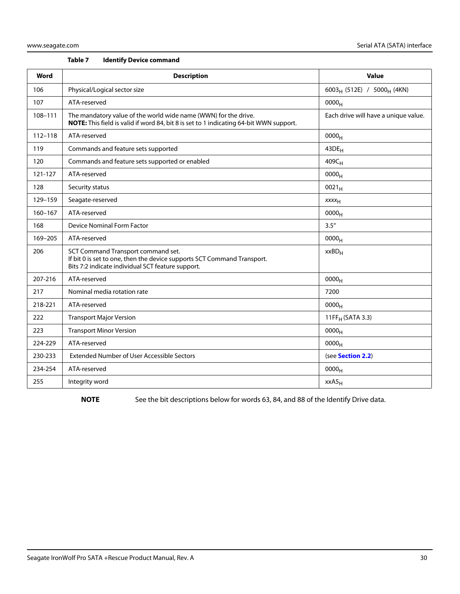| Table 7 |  |  | <b>Identify Device command</b> |
|---------|--|--|--------------------------------|
|---------|--|--|--------------------------------|

| Word        | <b>Description</b>                                                                                                                                                 | <b>Value</b>                                       |
|-------------|--------------------------------------------------------------------------------------------------------------------------------------------------------------------|----------------------------------------------------|
| 106         | Physical/Logical sector size                                                                                                                                       | 6003 <sub>H</sub> (512E) / 5000 <sub>H</sub> (4KN) |
| 107         | ATA-reserved                                                                                                                                                       | 0000 <sub>H</sub>                                  |
| 108-111     | The mandatory value of the world wide name (WWN) for the drive.<br>NOTE: This field is valid if word 84, bit 8 is set to 1 indicating 64-bit WWN support.          | Each drive will have a unique value.               |
| $112 - 118$ | ATA-reserved                                                                                                                                                       | 0000 <sub>H</sub>                                  |
| 119         | Commands and feature sets supported                                                                                                                                | $43DE_H$                                           |
| 120         | Commands and feature sets supported or enabled                                                                                                                     | 409C <sub>H</sub>                                  |
| 121-127     | ATA-reserved                                                                                                                                                       | 0000 <sub>H</sub>                                  |
| 128         | Security status                                                                                                                                                    | $0021_H$                                           |
| 129-159     | Seagate-reserved                                                                                                                                                   | $xxxx_{H}$                                         |
| $160 - 167$ | ATA-reserved                                                                                                                                                       | 0000 <sub>H</sub>                                  |
| 168         | <b>Device Nominal Form Factor</b>                                                                                                                                  | 3.5''                                              |
| 169-205     | ATA-reserved                                                                                                                                                       | 0000 <sub>H</sub>                                  |
| 206         | SCT Command Transport command set.<br>If bit 0 is set to one, then the device supports SCT Command Transport.<br>Bits 7:2 indicate individual SCT feature support. | $xxBD_H$                                           |
| 207-216     | ATA-reserved                                                                                                                                                       | 0000 <sub>H</sub>                                  |
| 217         | Nominal media rotation rate                                                                                                                                        | 7200                                               |
| 218-221     | ATA-reserved                                                                                                                                                       | 0000 <sub>H</sub>                                  |
| 222         | <b>Transport Major Version</b>                                                                                                                                     | 11FF <sub>H</sub> (SATA 3.3)                       |
| 223         | <b>Transport Minor Version</b>                                                                                                                                     | $0000_{H}$                                         |
| 224-229     | ATA-reserved                                                                                                                                                       | 0000 <sub>H</sub>                                  |
| 230-233     | <b>Extended Number of User Accessible Sectors</b>                                                                                                                  | (see Section 2.2)                                  |
| 234-254     | ATA-reserved                                                                                                                                                       | 0000 <sub>H</sub>                                  |
| 255         | Integrity word                                                                                                                                                     | xxA5 <sub>H</sub>                                  |

NOTE See the bit descriptions below for words 63, 84, and 88 of the Identify Drive data.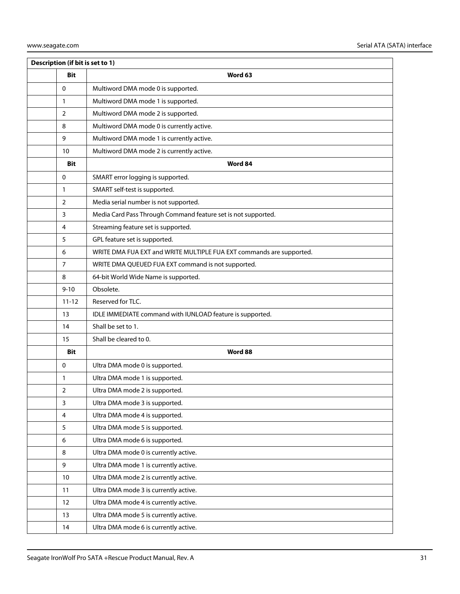|                | Description (if bit is set to 1) |                                                                      |  |  |  |  |
|----------------|----------------------------------|----------------------------------------------------------------------|--|--|--|--|
|                | <b>Bit</b>                       | Word 63                                                              |  |  |  |  |
| $\mathbf 0$    |                                  | Multiword DMA mode 0 is supported.                                   |  |  |  |  |
| 1              |                                  | Multiword DMA mode 1 is supported.                                   |  |  |  |  |
| $\overline{2}$ |                                  | Multiword DMA mode 2 is supported.                                   |  |  |  |  |
| 8              |                                  | Multiword DMA mode 0 is currently active.                            |  |  |  |  |
| 9              |                                  | Multiword DMA mode 1 is currently active.                            |  |  |  |  |
| 10             |                                  | Multiword DMA mode 2 is currently active.                            |  |  |  |  |
|                | <b>Bit</b>                       | Word 84                                                              |  |  |  |  |
| $\mathbf 0$    |                                  | SMART error logging is supported.                                    |  |  |  |  |
| 1              |                                  | SMART self-test is supported.                                        |  |  |  |  |
| 2              |                                  | Media serial number is not supported.                                |  |  |  |  |
| 3              |                                  | Media Card Pass Through Command feature set is not supported.        |  |  |  |  |
| 4              |                                  | Streaming feature set is supported.                                  |  |  |  |  |
| 5              |                                  | GPL feature set is supported.                                        |  |  |  |  |
| 6              |                                  | WRITE DMA FUA EXT and WRITE MULTIPLE FUA EXT commands are supported. |  |  |  |  |
| $\overline{7}$ |                                  | WRITE DMA QUEUED FUA EXT command is not supported.                   |  |  |  |  |
| 8              |                                  | 64-bit World Wide Name is supported.                                 |  |  |  |  |
| $9 - 10$       |                                  | Obsolete.                                                            |  |  |  |  |
|                | $11 - 12$                        | Reserved for TLC.                                                    |  |  |  |  |
| 13             |                                  | IDLE IMMEDIATE command with IUNLOAD feature is supported.            |  |  |  |  |
| 14             |                                  | Shall be set to 1.                                                   |  |  |  |  |
| 15             |                                  | Shall be cleared to 0.                                               |  |  |  |  |
|                | <b>Bit</b>                       | Word 88                                                              |  |  |  |  |
| 0              |                                  | Ultra DMA mode 0 is supported.                                       |  |  |  |  |
| 1              |                                  | Ultra DMA mode 1 is supported.                                       |  |  |  |  |
| 2              |                                  | Ultra DMA mode 2 is supported.                                       |  |  |  |  |
| $\overline{3}$ |                                  | Ultra DMA mode 3 is supported.                                       |  |  |  |  |
| $\overline{4}$ |                                  | Ultra DMA mode 4 is supported.                                       |  |  |  |  |
| 5              |                                  | Ultra DMA mode 5 is supported.                                       |  |  |  |  |
| 6              |                                  | Ultra DMA mode 6 is supported.                                       |  |  |  |  |
| 8              |                                  | Ultra DMA mode 0 is currently active.                                |  |  |  |  |
| 9              |                                  | Ultra DMA mode 1 is currently active.                                |  |  |  |  |
| 10             |                                  | Ultra DMA mode 2 is currently active.                                |  |  |  |  |
| 11             |                                  | Ultra DMA mode 3 is currently active.                                |  |  |  |  |
| 12             |                                  | Ultra DMA mode 4 is currently active.                                |  |  |  |  |
| 13             |                                  | Ultra DMA mode 5 is currently active.                                |  |  |  |  |
| 14             |                                  | Ultra DMA mode 6 is currently active.                                |  |  |  |  |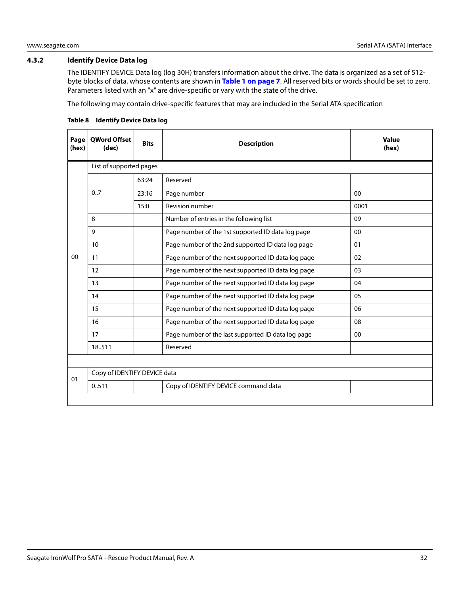#### <span id="page-32-0"></span>**4.3.2 Identify Device Data log**

The IDENTIFY DEVICE Data log (log 30H) transfers information about the drive. The data is organized as a set of 512 byte blocks of data, whose contents are shown in **[Table 1 on page 7](#page-7-2)**. All reserved bits or words should be set to zero. Parameters listed with an "x" are drive-specific or vary with the state of the drive.

The following may contain drive-specific features that may are included in the Serial ATA specification

| Page<br>(hex) | <b>OWord Offset</b><br>(dec) | <b>Bits</b> | <b>Description</b>                                 | <b>Value</b><br>(hex) |
|---------------|------------------------------|-------------|----------------------------------------------------|-----------------------|
|               | List of supported pages      |             |                                                    |                       |
|               |                              | 63:24       | Reserved                                           |                       |
|               | 0.7                          | 23:16       | Page number                                        | 00                    |
|               |                              | 15:0        | <b>Revision number</b>                             | 0001                  |
|               | 8                            |             | Number of entries in the following list            | 09                    |
|               | 9                            |             | Page number of the 1st supported ID data log page  | 00                    |
|               | 10                           |             | Page number of the 2nd supported ID data log page  | 01                    |
| $00\,$        | 11                           |             | Page number of the next supported ID data log page | 02                    |
|               | 12                           |             | Page number of the next supported ID data log page | 03                    |
|               | 13                           |             | Page number of the next supported ID data log page | 04                    |
|               | 14                           |             | Page number of the next supported ID data log page | 05                    |
|               | 15                           |             | Page number of the next supported ID data log page | 06                    |
|               | 16                           |             | Page number of the next supported ID data log page | 08                    |
|               | 17                           |             | Page number of the last supported ID data log page | $00\,$                |
|               | 18.511                       |             | Reserved                                           |                       |
|               |                              |             |                                                    |                       |
| 01            | Copy of IDENTIFY DEVICE data |             |                                                    |                       |
|               | 0.511                        |             | Copy of IDENTIFY DEVICE command data               |                       |
|               |                              |             |                                                    |                       |

#### **Table 8 Identify Device Data log**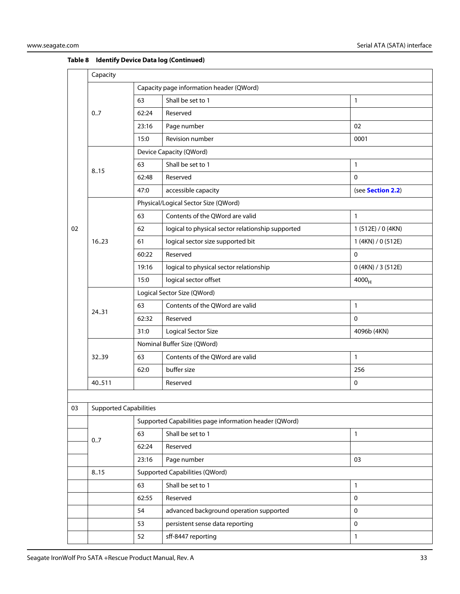|    | Capacity                                               |                             |                                                   |                    |  |  |
|----|--------------------------------------------------------|-----------------------------|---------------------------------------------------|--------------------|--|--|
|    |                                                        |                             | Capacity page information header (QWord)          |                    |  |  |
|    |                                                        | 63                          | Shall be set to 1                                 | $\mathbf{1}$       |  |  |
|    | 0.7                                                    | 62:24                       | Reserved                                          |                    |  |  |
|    |                                                        | 23:16                       | Page number                                       | 02                 |  |  |
|    |                                                        | 15:0                        | Revision number                                   | 0001               |  |  |
|    |                                                        | Device Capacity (QWord)     |                                                   |                    |  |  |
|    | 8.15                                                   | 63                          | Shall be set to 1                                 | 1                  |  |  |
|    |                                                        | 62:48                       | Reserved                                          | $\mathbf 0$        |  |  |
|    |                                                        | 47:0                        | accessible capacity                               | (see Section 2.2)  |  |  |
|    |                                                        |                             | Physical/Logical Sector Size (QWord)              |                    |  |  |
|    |                                                        | 63                          | Contents of the QWord are valid                   | $\mathbf{1}$       |  |  |
| 02 |                                                        | 62                          | logical to physical sector relationship supported | 1 (512E) / 0 (4KN) |  |  |
|    | 16.23                                                  | 61                          | logical sector size supported bit                 | 1 (4KN) / 0 (512E) |  |  |
|    |                                                        | 60:22                       | Reserved                                          | $\mathbf{0}$       |  |  |
|    |                                                        | 19:16                       | logical to physical sector relationship           | 0 (4KN) / 3 (512E) |  |  |
|    |                                                        | 15:0                        | logical sector offset                             | 4000 <sub>H</sub>  |  |  |
|    |                                                        | Logical Sector Size (QWord) |                                                   |                    |  |  |
|    | 24.31                                                  | 63                          | Contents of the QWord are valid                   | $\mathbf{1}$       |  |  |
|    |                                                        | 62:32                       | Reserved                                          | $\mathbf 0$        |  |  |
|    |                                                        | 31:0                        | <b>Logical Sector Size</b>                        | 4096b (4KN)        |  |  |
|    |                                                        | Nominal Buffer Size (QWord) |                                                   |                    |  |  |
|    | 3239                                                   | 63                          | Contents of the QWord are valid                   | $\mathbf{1}$       |  |  |
|    |                                                        | 62:0                        | buffer size                                       | 256                |  |  |
|    | 40.511                                                 |                             | Reserved                                          | $\mathbf 0$        |  |  |
|    |                                                        |                             |                                                   |                    |  |  |
| 03 | <b>Supported Capabilities</b>                          |                             |                                                   |                    |  |  |
|    | Supported Capabilities page information header (QWord) |                             |                                                   |                    |  |  |
|    | 0.7                                                    | 63                          | Shall be set to 1                                 | $\mathbf{1}$       |  |  |
|    |                                                        | 62:24                       | Reserved                                          |                    |  |  |
|    |                                                        | 23:16                       | Page number                                       | 03                 |  |  |
|    | <b>Supported Capabilities (QWord)</b><br>8.15          |                             |                                                   |                    |  |  |

63 Shall be set to 1 1 62:55 Reserved 0 54 advanced background operation supported 0 53 persistent sense data reporting density of the persistent sense data reporting 52 sff-8447 reporting 1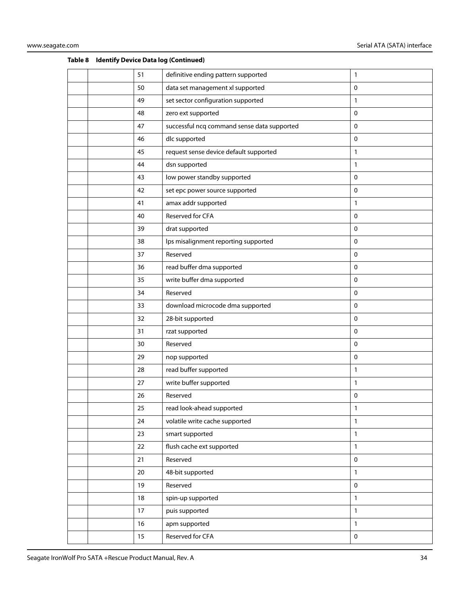|  | 51 | definitive ending pattern supported         | 1            |
|--|----|---------------------------------------------|--------------|
|  | 50 | data set management xl supported            | $\mathbf 0$  |
|  | 49 | set sector configuration supported          | 1            |
|  | 48 | zero ext supported                          | 0            |
|  | 47 | successful ncq command sense data supported | $\pmb{0}$    |
|  | 46 | dlc supported                               | $\mathbf 0$  |
|  | 45 | request sense device default supported      | $\mathbf{1}$ |
|  | 44 | dsn supported                               | 1            |
|  | 43 | low power standby supported                 | 0            |
|  | 42 | set epc power source supported              | 0            |
|  | 41 | amax addr supported                         | 1            |
|  | 40 | Reserved for CFA                            | $\mathbf 0$  |
|  | 39 | drat supported                              | $\mathbf 0$  |
|  | 38 | lps misalignment reporting supported        | 0            |
|  | 37 | Reserved                                    | $\pmb{0}$    |
|  | 36 | read buffer dma supported                   | 0            |
|  | 35 | write buffer dma supported                  | 0            |
|  | 34 | Reserved                                    | 0            |
|  | 33 | download microcode dma supported            | 0            |
|  | 32 | 28-bit supported                            | $\mathbf 0$  |
|  | 31 | rzat supported                              | 0            |
|  | 30 | Reserved                                    | $\mathbf 0$  |
|  | 29 | nop supported                               | 0            |
|  | 28 | read buffer supported                       | 1            |
|  | 27 | write buffer supported                      | $\mathbf{1}$ |
|  | 26 | Reserved                                    | 0            |
|  | 25 | read look-ahead supported                   | 1            |
|  | 24 | volatile write cache supported              | $\mathbf{1}$ |
|  | 23 | smart supported                             | 1            |
|  | 22 | flush cache ext supported                   | 1            |
|  | 21 | Reserved                                    | $\pmb{0}$    |
|  | 20 | 48-bit supported                            | $\mathbf{1}$ |
|  | 19 | Reserved                                    | $\mathbf 0$  |
|  | 18 | spin-up supported                           | $\mathbf{1}$ |
|  | 17 | puis supported                              | $\mathbf{1}$ |
|  | 16 | apm supported                               | $\mathbf{1}$ |
|  | 15 | Reserved for CFA                            | $\pmb{0}$    |
|  |    |                                             |              |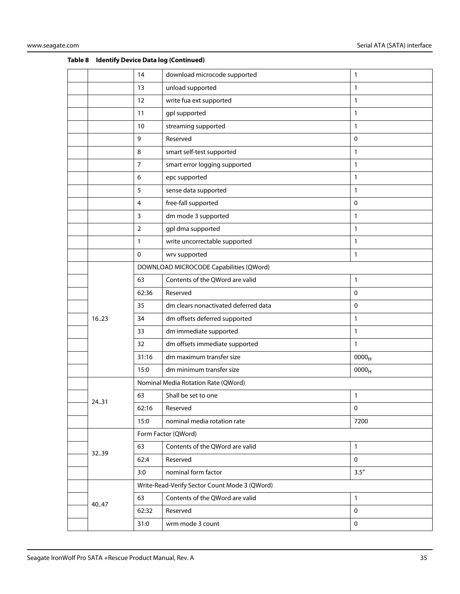|       | 14             | download microcode supported                  | 1                 |
|-------|----------------|-----------------------------------------------|-------------------|
|       | 13             | unload supported                              | 1                 |
|       | 12             | write fua ext supported                       | 1                 |
|       | 11             | gpl supported                                 | $\mathbf{1}$      |
|       | 10             | streaming supported                           | 1                 |
|       | 9              | Reserved                                      | $\mathbf 0$       |
|       | 8              | smart self-test supported                     | 1                 |
|       | 7              | smart error logging supported                 | 1                 |
|       | 6              | epc supported                                 | 1                 |
|       | 5              | sense data supported                          | 1                 |
|       | $\overline{4}$ | free-fall supported                           | $\mathbf 0$       |
|       | 3              | dm mode 3 supported                           | 1                 |
|       | 2              | gpl dma supported                             | 1                 |
|       | 1              | write uncorrectable supported                 | 1                 |
|       | 0              | wrv supported                                 | 1                 |
|       |                | DOWNLOAD MICROCODE Capabilities (QWord)       |                   |
|       | 63             | Contents of the QWord are valid               | 1                 |
|       | 62:36          | Reserved                                      | 0                 |
|       | 35             | dm clears nonactivated deferred data          | $\mathbf 0$       |
| 1623  | 34             | dm offsets deferred supported                 | $\mathbf{1}$      |
|       | 33             | dm immediate supported                        | $\mathbf{1}$      |
|       | 32             | dm offsets immediate supported                | 1                 |
|       | 31:16          | dm maximum transfer size                      | 0000 <sub>H</sub> |
|       | 15:0           | dm minimum transfer size                      | 0000 <sub>H</sub> |
|       |                | Nominal Media Rotation Rate (QWord)           |                   |
| 24.31 | 63             | Shall be set to one                           | 1                 |
|       | 62:16          | Reserved                                      | $\pmb{0}$         |
|       | 15:0           | nominal media rotation rate                   | 7200              |
|       |                | Form Factor (QWord)                           |                   |
|       | 63             | Contents of the QWord are valid               | 1                 |
| 3239  | 62:4           | Reserved                                      | $\mathbf 0$       |
|       | 3:0            | nominal form factor                           | 3.5''             |
|       |                | Write-Read-Verify Sector Count Mode 3 (QWord) |                   |
|       | 63             | Contents of the QWord are valid               | $\mathbf{1}$      |
| 40.47 | 62:32          | Reserved                                      | $\pmb{0}$         |
|       | 31:0           | wrm mode 3 count                              | $\mathbf 0$       |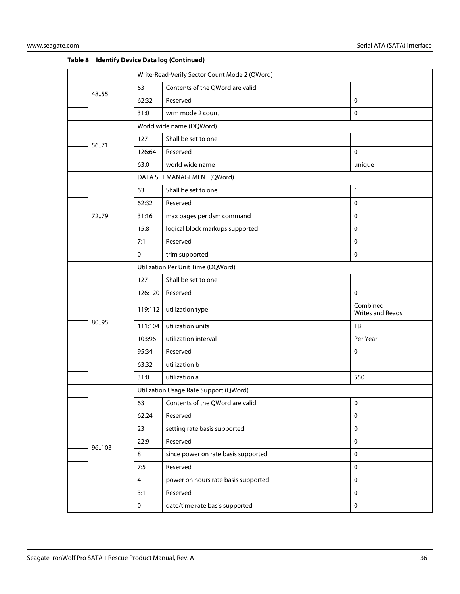|       | Write-Read-Verify Sector Count Mode 2 (QWord) |                                        |                              |  |
|-------|-----------------------------------------------|----------------------------------------|------------------------------|--|
| 48.55 | 63                                            | Contents of the QWord are valid        | $\mathbf{1}$                 |  |
|       | 62:32                                         | Reserved                               | $\mathbf 0$                  |  |
|       | 31:0                                          | wrm mode 2 count                       | $\mathbf 0$                  |  |
|       |                                               | World wide name (DQWord)               |                              |  |
| 5671  | 127                                           | Shall be set to one                    | $\mathbf{1}$                 |  |
|       | 126:64                                        | Reserved                               | $\mathbf 0$                  |  |
|       | 63:0                                          | world wide name                        | unique                       |  |
|       |                                               | DATA SET MANAGEMENT (QWord)            |                              |  |
|       | 63                                            | Shall be set to one                    | $\mathbf{1}$                 |  |
|       | 62:32                                         | Reserved                               | $\mathbf 0$                  |  |
| 7279  | 31:16                                         | max pages per dsm command              | $\mathbf 0$                  |  |
|       | 15:8                                          | logical block markups supported        | $\mathbf 0$                  |  |
|       | 7:1                                           | Reserved                               | $\mathbf 0$                  |  |
|       | $\mathbf 0$                                   | trim supported                         | $\mathsf 0$                  |  |
|       |                                               | Utilization Per Unit Time (DQWord)     |                              |  |
|       | 127                                           | Shall be set to one                    | $\mathbf{1}$                 |  |
|       | 126:120                                       | Reserved                               | $\mathbf 0$                  |  |
|       | 119:112                                       | utilization type                       | Combined<br>Writes and Reads |  |
| 80.95 | 111:104                                       | utilization units                      | TB                           |  |
|       | 103:96                                        | utilization interval                   | Per Year                     |  |
|       | 95:34                                         | Reserved                               | 0                            |  |
|       | 63:32                                         | utilization b                          |                              |  |
|       | 31:0                                          | utilization a                          | 550                          |  |
|       |                                               | Utilization Usage Rate Support (QWord) |                              |  |
|       | 63                                            | Contents of the QWord are valid        | $\pmb{0}$                    |  |
|       | 62:24                                         | Reserved                               | $\pmb{0}$                    |  |
|       | 23                                            | setting rate basis supported           | $\mathbf 0$                  |  |
| 96103 | 22:9                                          | Reserved                               | $\pmb{0}$                    |  |
|       | 8                                             | since power on rate basis supported    | $\mathbf 0$                  |  |
|       | 7:5                                           | Reserved                               | $\mathbf 0$                  |  |
|       | 4                                             | power on hours rate basis supported    | $\mathbf 0$                  |  |
|       | 3:1                                           | Reserved                               | $\mathbf 0$                  |  |
|       | $\mathbf{0}$                                  | date/time rate basis supported         | $\mathbf 0$                  |  |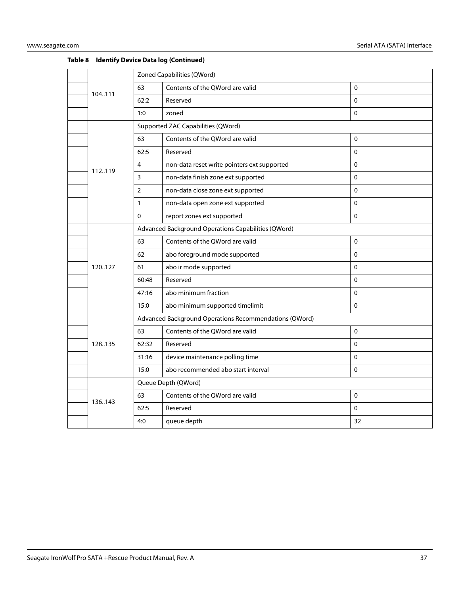|         | Zoned Capabilities (QWord) |                                                        |             |  |
|---------|----------------------------|--------------------------------------------------------|-------------|--|
| 104.111 | 63                         | Contents of the QWord are valid                        | $\Omega$    |  |
|         | 62:2                       | Reserved                                               | 0           |  |
|         | 1:0                        | zoned                                                  | 0           |  |
|         |                            | Supported ZAC Capabilities (QWord)                     |             |  |
|         | 63                         | Contents of the QWord are valid                        | $\pmb{0}$   |  |
|         | 62:5                       | Reserved                                               | $\Omega$    |  |
| 112.119 | 4                          | non-data reset write pointers ext supported            | 0           |  |
|         | 3                          | non-data finish zone ext supported                     | $\mathbf 0$ |  |
|         | $\overline{2}$             | non-data close zone ext supported                      | $\Omega$    |  |
|         | 1                          | non-data open zone ext supported                       | $\Omega$    |  |
|         | 0                          | report zones ext supported                             | 0           |  |
|         |                            | Advanced Background Operations Capabilities (QWord)    |             |  |
|         | 63                         | Contents of the QWord are valid                        | $\mathbf 0$ |  |
|         | 62                         | abo foreground mode supported                          | 0           |  |
| 120127  | 61                         | abo ir mode supported                                  | 0           |  |
|         | 60:48                      | Reserved                                               | $\Omega$    |  |
|         | 47:16                      | abo minimum fraction                                   | $\Omega$    |  |
|         | 15:0                       | abo minimum supported timelimit                        | 0           |  |
|         |                            | Advanced Background Operations Recommendations (QWord) |             |  |
|         | 63                         | Contents of the QWord are valid                        | $\Omega$    |  |
| 128.135 | 62:32                      | Reserved                                               | $\mathbf 0$ |  |
|         | 31:16                      | device maintenance polling time                        | $\Omega$    |  |
|         | 15:0                       | abo recommended abo start interval                     | $\Omega$    |  |
|         |                            | Queue Depth (QWord)                                    |             |  |
| 136.143 | 63                         | Contents of the QWord are valid                        | 0           |  |
|         | 62:5                       | Reserved                                               | $\Omega$    |  |
|         | 4:0                        | queue depth                                            | 32          |  |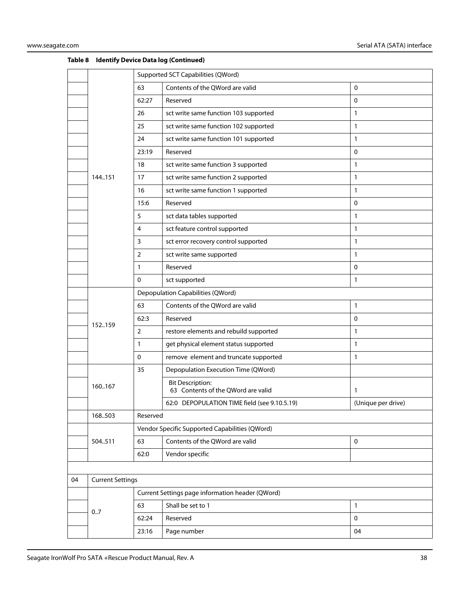|    |                         | Supported SCT Capabilities (QWord) |                                                               |                    |  |
|----|-------------------------|------------------------------------|---------------------------------------------------------------|--------------------|--|
|    |                         | 63                                 | Contents of the QWord are valid                               | $\mathbf 0$        |  |
|    |                         | 62:27                              | Reserved                                                      | 0                  |  |
|    |                         | 26                                 | sct write same function 103 supported                         | $\mathbf{1}$       |  |
|    |                         | 25                                 | sct write same function 102 supported                         | 1                  |  |
|    |                         | 24                                 | sct write same function 101 supported                         | 1                  |  |
|    |                         | 23:19                              | Reserved                                                      | $\mathbf 0$        |  |
|    |                         | 18                                 | sct write same function 3 supported                           | 1                  |  |
|    | 144.151                 | 17                                 | sct write same function 2 supported                           | 1                  |  |
|    |                         | 16                                 | sct write same function 1 supported                           | 1                  |  |
|    |                         | 15:6                               | Reserved                                                      | 0                  |  |
|    |                         | 5                                  | sct data tables supported                                     | 1                  |  |
|    |                         | 4                                  | sct feature control supported                                 | 1                  |  |
|    |                         | 3                                  | sct error recovery control supported                          | 1                  |  |
|    |                         | 2                                  | sct write same supported                                      | 1                  |  |
|    |                         | $\mathbf{1}$                       | Reserved                                                      | $\mathbf 0$        |  |
|    |                         | $\mathbf{0}$                       | sct supported                                                 | 1                  |  |
|    |                         | Depopulation Capabilities (QWord)  |                                                               |                    |  |
|    |                         | 63                                 | Contents of the QWord are valid                               | 1                  |  |
|    | 152159                  | 62:3                               | Reserved                                                      | $\mathbf{0}$       |  |
|    |                         | $\overline{2}$                     | restore elements and rebuild supported                        | 1                  |  |
|    |                         | 1                                  | get physical element status supported                         | 1                  |  |
|    |                         | $\mathbf 0$                        | remove element and truncate supported                         | 1                  |  |
|    |                         | 35                                 | Depopulation Execution Time (QWord)                           |                    |  |
|    | 160167                  |                                    | <b>Bit Description:</b><br>63 Contents of the QWord are valid | 1                  |  |
|    |                         |                                    | 62:0 DEPOPULATION TIME field (see 9.10.5.19)                  | (Unique per drive) |  |
|    | 168.503                 | Reserved                           |                                                               |                    |  |
|    |                         |                                    | Vendor Specific Supported Capabilities (QWord)                |                    |  |
|    | 504511                  | 63                                 | Contents of the QWord are valid                               | $\mathbf 0$        |  |
|    |                         | 62:0                               | Vendor specific                                               |                    |  |
|    |                         |                                    |                                                               |                    |  |
| 04 | <b>Current Settings</b> |                                    |                                                               |                    |  |
|    |                         |                                    | Current Settings page information header (QWord)              |                    |  |
|    | 0.7                     | 63                                 | Shall be set to 1                                             | 1                  |  |
|    |                         | 62:24                              | Reserved                                                      | $\mathbf 0$        |  |
|    |                         | 23:16                              | Page number                                                   | 04                 |  |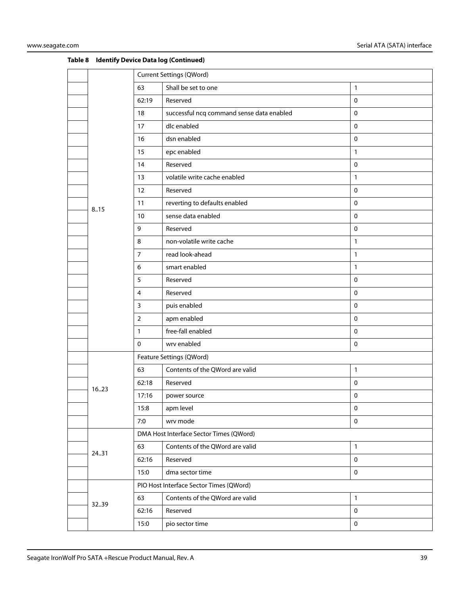|  |       | <b>Current Settings (QWord)</b>         |                                           |              |  |
|--|-------|-----------------------------------------|-------------------------------------------|--------------|--|
|  |       | 63                                      | Shall be set to one                       | $\mathbf{1}$ |  |
|  |       | 62:19                                   | Reserved                                  | $\mathbf 0$  |  |
|  |       | 18                                      | successful ncq command sense data enabled | $\mathbf 0$  |  |
|  |       | 17                                      | dlc enabled                               | $\pmb{0}$    |  |
|  |       | 16                                      | dsn enabled                               | $\pmb{0}$    |  |
|  |       | 15                                      | epc enabled                               | $\mathbf{1}$ |  |
|  |       | 14                                      | Reserved                                  | $\pmb{0}$    |  |
|  |       | 13                                      | volatile write cache enabled              | $\mathbf{1}$ |  |
|  |       | 12                                      | Reserved                                  | $\mathbf 0$  |  |
|  | 8.15  | 11                                      | reverting to defaults enabled             | $\mathbf 0$  |  |
|  |       | 10                                      | sense data enabled                        | $\pmb{0}$    |  |
|  |       | 9                                       | Reserved                                  | $\mathbf 0$  |  |
|  |       | 8                                       | non-volatile write cache                  | $\mathbf{1}$ |  |
|  |       | $\overline{7}$                          | read look-ahead                           | $\mathbf{1}$ |  |
|  |       | 6                                       | smart enabled                             | $\mathbf{1}$ |  |
|  |       | 5                                       | Reserved                                  | $\mathbf 0$  |  |
|  |       | 4                                       | Reserved                                  | $\pmb{0}$    |  |
|  |       | $\mathsf{3}$                            | puis enabled                              | $\mathbf 0$  |  |
|  |       | $\overline{2}$                          | apm enabled                               | $\mathbf 0$  |  |
|  |       | $\mathbf{1}$                            | free-fall enabled                         | $\mathbf 0$  |  |
|  |       | $\mathbf 0$                             | wrv enabled                               | $\pmb{0}$    |  |
|  |       |                                         | Feature Settings (QWord)                  |              |  |
|  |       | 63                                      | Contents of the QWord are valid           | $\mathbf{1}$ |  |
|  | 1623  | 62:18                                   | Reserved                                  | $\mathbf 0$  |  |
|  |       | 17:16                                   | power source                              | 0            |  |
|  |       | 15:8                                    | apm level                                 | $\pmb{0}$    |  |
|  |       | 7:0                                     | wrv mode                                  | $\mathbf 0$  |  |
|  |       | DMA Host Interface Sector Times (QWord) |                                           |              |  |
|  | 24.31 | 63                                      | Contents of the QWord are valid           | $\mathbf{1}$ |  |
|  |       | 62:16                                   | Reserved                                  | $\mathbf 0$  |  |
|  |       | 15:0                                    | dma sector time                           | $\mathbf 0$  |  |
|  |       |                                         | PIO Host Interface Sector Times (QWord)   |              |  |
|  |       | 63                                      | Contents of the QWord are valid           | $\mathbf{1}$ |  |
|  | 3239  | 62:16                                   | Reserved                                  | $\pmb{0}$    |  |
|  |       | 15:0                                    | pio sector time                           | $\pmb{0}$    |  |
|  |       |                                         |                                           |              |  |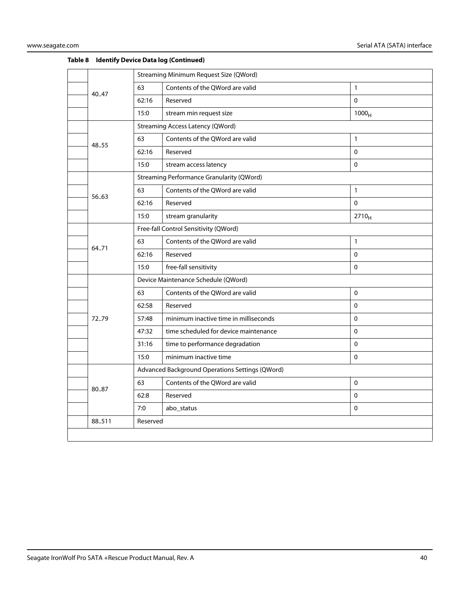|        | Streaming Minimum Request Size (QWord) |                                                  |                   |
|--------|----------------------------------------|--------------------------------------------------|-------------------|
|        | 63                                     | Contents of the QWord are valid                  | $\mathbf{1}$      |
| 40.47  | 62:16                                  | Reserved                                         | $\mathbf 0$       |
|        | 15:0                                   | stream min request size                          | 1000 <sub>H</sub> |
|        |                                        | <b>Streaming Access Latency (QWord)</b>          |                   |
| 48.55  | 63                                     | Contents of the QWord are valid                  | $\mathbf{1}$      |
|        | 62:16                                  | Reserved                                         | $\mathbf 0$       |
|        | 15:0                                   | stream access latency                            | $\Omega$          |
|        |                                        | <b>Streaming Performance Granularity (QWord)</b> |                   |
| 56.63  | 63                                     | Contents of the QWord are valid                  | $\mathbf{1}$      |
|        | 62:16                                  | Reserved                                         | $\mathbf{0}$      |
|        | 15:0                                   | stream granularity                               | $2710_H$          |
|        | Free-fall Control Sensitivity (QWord)  |                                                  |                   |
| 64.71  | 63                                     | Contents of the QWord are valid                  | $\mathbf{1}$      |
|        | 62:16                                  | Reserved                                         | $\Omega$          |
|        | 15:0                                   | free-fall sensitivity                            | $\Omega$          |
|        | Device Maintenance Schedule (QWord)    |                                                  |                   |
|        | 63                                     | Contents of the QWord are valid                  | $\mathbf 0$       |
|        | 62:58                                  | Reserved                                         | $\Omega$          |
| 72.79  | 57:48                                  | minimum inactive time in milliseconds            | $\mathbf 0$       |
|        | 47:32                                  | time scheduled for device maintenance            | $\mathbf 0$       |
|        | 31:16                                  | time to performance degradation                  | $\mathbf{0}$      |
|        | 15:0                                   | minimum inactive time                            | $\Omega$          |
|        |                                        | Advanced Background Operations Settings (QWord)  |                   |
| 8087   | 63                                     | Contents of the QWord are valid                  | $\Omega$          |
|        | 62:8                                   | Reserved                                         | $\Omega$          |
|        | 7:0                                    | abo_status                                       | $\mathbf 0$       |
| 88.511 | Reserved                               |                                                  |                   |
|        |                                        |                                                  |                   |
|        |                                        |                                                  |                   |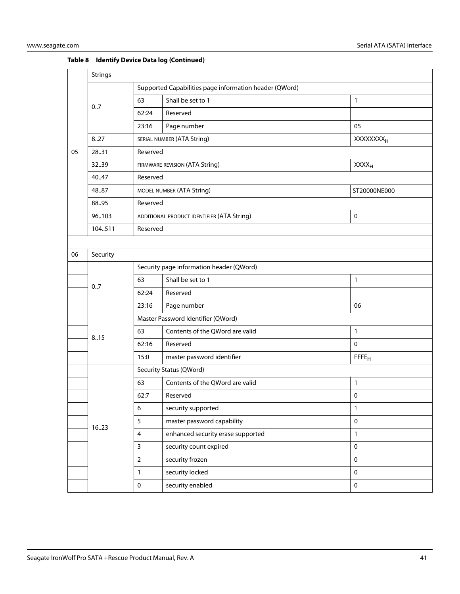|    | <b>Strings</b> |                                                           |                                                           |                              |  |  |  |
|----|----------------|-----------------------------------------------------------|-----------------------------------------------------------|------------------------------|--|--|--|
|    |                | Supported Capabilities page information header (QWord)    |                                                           |                              |  |  |  |
|    | 0.7            | 63                                                        | Shall be set to 1                                         | $\mathbf{1}$                 |  |  |  |
|    |                | 62:24                                                     | Reserved                                                  |                              |  |  |  |
|    |                | 23:16                                                     | Page number                                               | 05                           |  |  |  |
|    | 8.27           |                                                           | SERIAL NUMBER (ATA String)                                | <b>XXXXXXXX</b> <sub>H</sub> |  |  |  |
| 05 | 28.31          | Reserved                                                  |                                                           |                              |  |  |  |
|    | 32.39          | <b>XXXX<sub>H</sub></b><br>FIRMWARE REVISION (ATA String) |                                                           |                              |  |  |  |
|    | 40.47          | Reserved                                                  |                                                           |                              |  |  |  |
|    | 48.87          |                                                           | MODEL NUMBER (ATA String)                                 | ST20000NE000                 |  |  |  |
|    | 88.95          |                                                           | Reserved                                                  |                              |  |  |  |
|    | 96103          |                                                           | $\mathbf 0$<br>ADDITIONAL PRODUCT IDENTIFIER (ATA String) |                              |  |  |  |
|    | 104511         | Reserved                                                  |                                                           |                              |  |  |  |
|    |                |                                                           |                                                           |                              |  |  |  |
| 06 | Security       |                                                           |                                                           |                              |  |  |  |
|    |                |                                                           | Security page information header (QWord)                  |                              |  |  |  |
|    |                | 63                                                        | Shall be set to 1                                         | $\mathbf{1}$                 |  |  |  |
|    | 0.7            | 62:24                                                     | Reserved                                                  |                              |  |  |  |
|    |                | 23:16                                                     | Page number                                               | 06                           |  |  |  |
|    |                |                                                           | Master Password Identifier (QWord)                        |                              |  |  |  |
|    | 8.15           | 63                                                        | Contents of the QWord are valid                           | $\mathbf{1}$                 |  |  |  |
|    |                | 62:16                                                     | Reserved                                                  | $\mathbf 0$                  |  |  |  |
|    |                | 15:0                                                      | master password identifier                                | FFFE <sub>H</sub>            |  |  |  |
|    |                |                                                           | Security Status (QWord)                                   |                              |  |  |  |
|    |                | 63                                                        | Contents of the QWord are valid                           | $\mathbf{1}$                 |  |  |  |
|    |                | 62:7                                                      | Reserved                                                  | 0                            |  |  |  |
|    |                | $\boldsymbol{6}$                                          | security supported                                        | 1                            |  |  |  |
|    |                | 5                                                         | master password capability                                | $\pmb{0}$                    |  |  |  |
|    | 1623           | $\overline{4}$                                            | enhanced security erase supported                         | $\mathbf{1}$                 |  |  |  |
|    |                | $\mathbf{3}$                                              | security count expired                                    | $\mathbf 0$                  |  |  |  |
|    |                | $\overline{2}$                                            | security frozen                                           | $\mathsf{O}\xspace$          |  |  |  |
|    |                | $\mathbf{1}$                                              | security locked                                           | $\mathbf 0$                  |  |  |  |
|    |                | $\pmb{0}$                                                 | security enabled                                          | $\mathbf 0$                  |  |  |  |
|    |                |                                                           |                                                           |                              |  |  |  |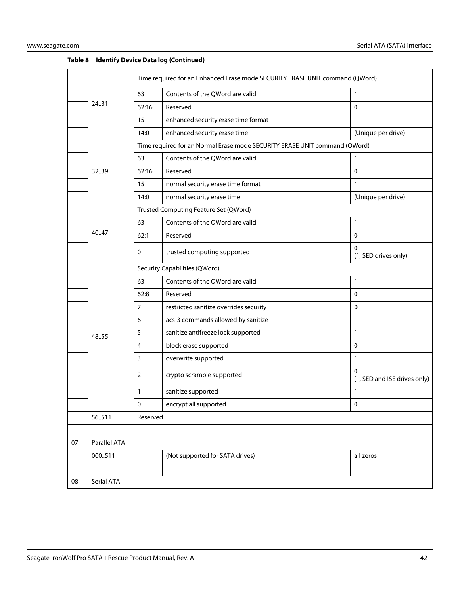|    |              | Time required for an Enhanced Erase mode SECURITY ERASE UNIT command (QWord) |                                                                            |                                   |  |
|----|--------------|------------------------------------------------------------------------------|----------------------------------------------------------------------------|-----------------------------------|--|
|    |              | 63                                                                           | Contents of the QWord are valid                                            | 1                                 |  |
|    | 24.31        | 62:16                                                                        | Reserved                                                                   | $\mathbf 0$                       |  |
|    |              | 15                                                                           | enhanced security erase time format                                        | $\mathbf{1}$                      |  |
|    |              | 14:0                                                                         | enhanced security erase time                                               | (Unique per drive)                |  |
|    |              |                                                                              | Time required for an Normal Erase mode SECURITY ERASE UNIT command (QWord) |                                   |  |
|    |              | 63                                                                           | Contents of the QWord are valid                                            | $\mathbf{1}$                      |  |
|    | 32.39        | 62:16                                                                        | Reserved                                                                   | $\mathbf 0$                       |  |
|    |              | 15                                                                           | normal security erase time format                                          | $\mathbf{1}$                      |  |
|    |              | 14:0                                                                         | normal security erase time                                                 | (Unique per drive)                |  |
|    |              |                                                                              | Trusted Computing Feature Set (QWord)                                      |                                   |  |
|    |              | 63                                                                           | Contents of the QWord are valid                                            | 1                                 |  |
|    | 40.47        | 62:1                                                                         | Reserved                                                                   | $\mathbf 0$                       |  |
|    |              | 0                                                                            | trusted computing supported                                                | $\Omega$<br>(1, SED drives only)  |  |
|    |              | <b>Security Capabilities (QWord)</b>                                         |                                                                            |                                   |  |
|    |              | 63                                                                           | Contents of the QWord are valid                                            | 1                                 |  |
|    |              | 62:8                                                                         | Reserved                                                                   | 0                                 |  |
|    |              | 7                                                                            | restricted sanitize overrides security                                     | 0                                 |  |
|    |              | 6                                                                            | acs-3 commands allowed by sanitize                                         | $\mathbf{1}$                      |  |
|    | 48.55        | 5                                                                            | sanitize antifreeze lock supported                                         | $\mathbf{1}$                      |  |
|    |              | 4                                                                            | block erase supported                                                      | $\mathbf 0$                       |  |
|    |              | 3                                                                            | overwrite supported                                                        | $\mathbf{1}$                      |  |
|    |              | 2                                                                            | crypto scramble supported                                                  | 0<br>(1, SED and ISE drives only) |  |
|    |              | 1                                                                            | sanitize supported                                                         | 1                                 |  |
|    |              | 0                                                                            | encrypt all supported                                                      | ${\bf 0}$                         |  |
|    | 56511        | Reserved                                                                     |                                                                            |                                   |  |
|    |              |                                                                              |                                                                            |                                   |  |
| 07 | Parallel ATA |                                                                              |                                                                            |                                   |  |
|    | 000511       |                                                                              | (Not supported for SATA drives)                                            | all zeros                         |  |
|    |              |                                                                              |                                                                            |                                   |  |
| 08 | Serial ATA   |                                                                              |                                                                            |                                   |  |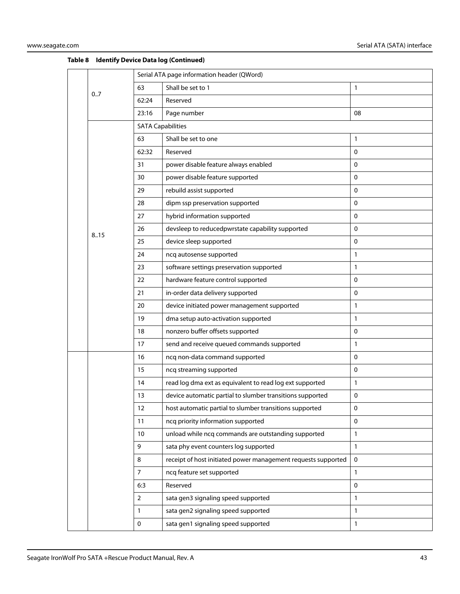|  |      | Serial ATA page information header (QWord) |                                                               |              |  |  |
|--|------|--------------------------------------------|---------------------------------------------------------------|--------------|--|--|
|  | 0.7  | 63                                         | Shall be set to 1                                             | 1            |  |  |
|  |      | 62:24                                      | Reserved                                                      |              |  |  |
|  |      | 23:16                                      | Page number                                                   | 08           |  |  |
|  |      | <b>SATA Capabilities</b>                   |                                                               |              |  |  |
|  |      | 63                                         | Shall be set to one                                           | 1            |  |  |
|  |      | 62:32                                      | Reserved                                                      | 0            |  |  |
|  |      | 31                                         | power disable feature always enabled                          | $\mathbf 0$  |  |  |
|  |      | 30                                         | power disable feature supported                               | $\mathbf 0$  |  |  |
|  |      | 29                                         | rebuild assist supported                                      | 0            |  |  |
|  |      | 28                                         | dipm ssp preservation supported                               | 0            |  |  |
|  |      | 27                                         | hybrid information supported                                  | 0            |  |  |
|  |      | 26                                         | devsleep to reducedpwrstate capability supported              | 0            |  |  |
|  | 8.15 | 25                                         | device sleep supported                                        | 0            |  |  |
|  |      | 24                                         | ncq autosense supported                                       | $\mathbf{1}$ |  |  |
|  |      | 23                                         | software settings preservation supported                      | $\mathbf{1}$ |  |  |
|  |      | 22                                         | hardware feature control supported                            | 0            |  |  |
|  |      | 21                                         | in-order data delivery supported                              | 0            |  |  |
|  |      | 20                                         | device initiated power management supported                   | 1            |  |  |
|  |      | 19                                         | dma setup auto-activation supported                           | 1            |  |  |
|  |      | 18                                         | nonzero buffer offsets supported                              | 0            |  |  |
|  |      | 17                                         | send and receive queued commands supported                    | $\mathbf{1}$ |  |  |
|  |      | 16                                         | ncq non-data command supported                                | $\mathbf{0}$ |  |  |
|  |      | 15                                         | ncq streaming supported                                       | $\mathbf 0$  |  |  |
|  |      | 14                                         | read log dma ext as equivalent to read log ext supported      | $\mathbf{1}$ |  |  |
|  |      | 13                                         | device automatic partial to slumber transitions supported     | 0            |  |  |
|  |      | 12                                         | host automatic partial to slumber transitions supported       | 0            |  |  |
|  |      | 11                                         | ncq priority information supported                            | $\mathbf 0$  |  |  |
|  |      | 10                                         | unload while ncq commands are outstanding supported           | $\mathbf{1}$ |  |  |
|  |      | 9                                          | sata phy event counters log supported                         | $\mathbf{1}$ |  |  |
|  |      | 8                                          | receipt of host initiated power management requests supported | $\mathbf 0$  |  |  |
|  |      | $\overline{7}$                             | ncq feature set supported                                     | 1            |  |  |
|  |      | 6:3                                        | Reserved                                                      | 0            |  |  |
|  |      | $\overline{2}$                             | sata gen3 signaling speed supported                           | 1            |  |  |
|  |      | $\mathbf{1}$                               | sata gen2 signaling speed supported                           | 1            |  |  |
|  |      | $\pmb{0}$                                  | sata gen1 signaling speed supported                           | 1            |  |  |
|  |      |                                            |                                                               |              |  |  |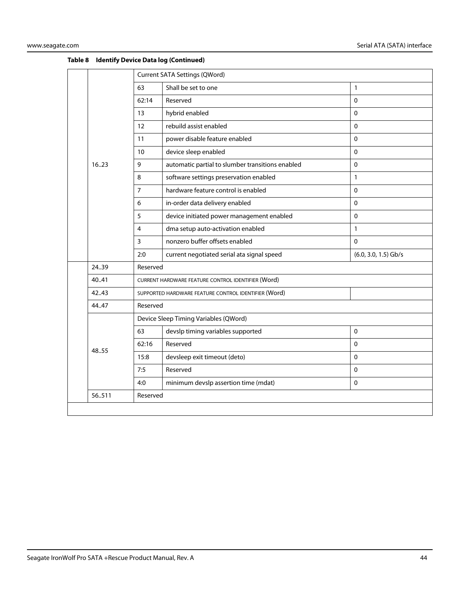|                    |       | Current SATA Settings (QWord)                      |                                                      |                        |  |  |
|--------------------|-------|----------------------------------------------------|------------------------------------------------------|------------------------|--|--|
|                    |       | 63                                                 | Shall be set to one                                  | $\mathbf{1}$           |  |  |
|                    |       | 62:14                                              | Reserved                                             | $\Omega$               |  |  |
|                    |       | 13                                                 | hybrid enabled                                       | $\mathbf 0$            |  |  |
|                    |       | 12                                                 | rebuild assist enabled                               | $\pmb{0}$              |  |  |
|                    |       | 11                                                 | power disable feature enabled                        | $\pmb{0}$              |  |  |
|                    |       | 10                                                 | device sleep enabled                                 | $\Omega$               |  |  |
|                    | 16.23 | 9                                                  | automatic partial to slumber transitions enabled     | $\Omega$               |  |  |
|                    |       | 8                                                  | software settings preservation enabled               | $\mathbf{1}$           |  |  |
|                    |       | $\overline{7}$                                     | hardware feature control is enabled                  | $\pmb{0}$              |  |  |
|                    |       | 6                                                  | in-order data delivery enabled                       | $\Omega$               |  |  |
|                    |       | 5                                                  | device initiated power management enabled            | $\Omega$               |  |  |
|                    |       | 4                                                  | dma setup auto-activation enabled                    | $\mathbf{1}$           |  |  |
|                    |       | 3                                                  | nonzero buffer offsets enabled                       | $\Omega$               |  |  |
|                    |       | 2:0                                                | current negotiated serial ata signal speed           | $(6.0, 3.0, 1.5)$ Gb/s |  |  |
|                    | 24.39 | Reserved                                           |                                                      |                        |  |  |
|                    | 40.41 | CURRENT HARDWARE FEATURE CONTROL IDENTIFIER (Word) |                                                      |                        |  |  |
|                    | 42.43 |                                                    | SUPPORTED HARDWARE FEATURE CONTROL IDENTIFIER (Word) |                        |  |  |
|                    | 44.47 | Reserved                                           |                                                      |                        |  |  |
|                    |       | Device Sleep Timing Variables (QWord)              |                                                      |                        |  |  |
|                    |       | 63                                                 | devslp timing variables supported                    | $\mathbf 0$            |  |  |
|                    | 48.55 | 62:16                                              | Reserved                                             | $\pmb{0}$              |  |  |
|                    |       | 15:8                                               | devsleep exit timeout (deto)                         | $\pmb{0}$              |  |  |
|                    |       | 7:5                                                | Reserved                                             | $\mathbf 0$            |  |  |
|                    |       | 4:0                                                | minimum devslp assertion time (mdat)                 | $\Omega$               |  |  |
| 56.511<br>Reserved |       |                                                    |                                                      |                        |  |  |
|                    |       |                                                    |                                                      |                        |  |  |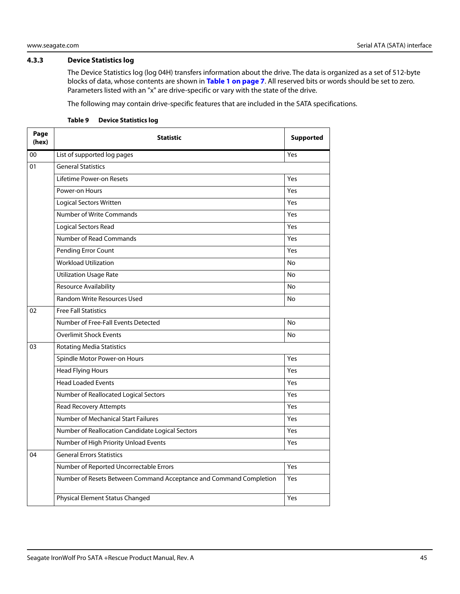### <span id="page-45-0"></span>**4.3.3 Device Statistics log**

The Device Statistics log (log 04H) transfers information about the drive. The data is organized as a set of 512-byte blocks of data, whose contents are shown in **[Table 1 on page 7](#page-7-2)**. All reserved bits or words should be set to zero. Parameters listed with an "x" are drive-specific or vary with the state of the drive.

The following may contain drive-specific features that are included in the SATA specifications.

| Page<br>(hex) | <b>Statistic</b>                                                   | <b>Supported</b> |
|---------------|--------------------------------------------------------------------|------------------|
| 00            | List of supported log pages                                        | Yes              |
| 01            | <b>General Statistics</b>                                          |                  |
|               | Lifetime Power-on Resets                                           | Yes              |
|               | Power-on Hours                                                     | Yes              |
|               | <b>Logical Sectors Written</b>                                     | Yes              |
|               | Number of Write Commands                                           | Yes              |
|               | <b>Logical Sectors Read</b>                                        | Yes              |
|               | Number of Read Commands                                            | Yes              |
|               | Pending Error Count                                                | Yes              |
|               | <b>Workload Utilization</b>                                        | <b>No</b>        |
|               | <b>Utilization Usage Rate</b>                                      | No               |
|               | <b>Resource Availability</b>                                       | No               |
|               | <b>Random Write Resources Used</b>                                 | <b>No</b>        |
| 02            | <b>Free Fall Statistics</b>                                        |                  |
|               | Number of Free-Fall Events Detected                                | <b>No</b>        |
|               | <b>Overlimit Shock Events</b>                                      | No               |
| 03            | <b>Rotating Media Statistics</b>                                   |                  |
|               | Spindle Motor Power-on Hours                                       | Yes              |
|               | <b>Head Flying Hours</b>                                           | Yes              |
|               | <b>Head Loaded Events</b>                                          | Yes              |
|               | Number of Reallocated Logical Sectors                              | Yes              |
|               | <b>Read Recovery Attempts</b>                                      | Yes              |
|               | Number of Mechanical Start Failures                                | Yes              |
|               | Number of Reallocation Candidate Logical Sectors                   | Yes              |
|               | Number of High Priority Unload Events                              | Yes              |
| 04            | <b>General Errors Statistics</b>                                   |                  |
|               | Number of Reported Uncorrectable Errors                            | Yes              |
|               | Number of Resets Between Command Acceptance and Command Completion | Yes              |
|               | Physical Element Status Changed                                    | Yes              |

#### **Table 9 Device Statistics log**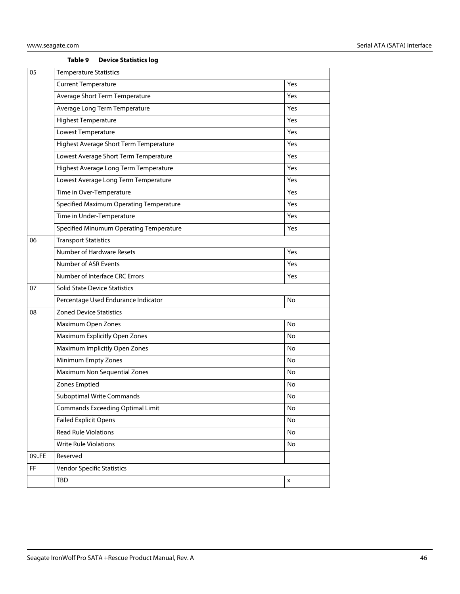#### **Table 9 Device Statistics log**

| 05    | <b>Temperature Statistics</b>           |     |  |  |  |  |  |
|-------|-----------------------------------------|-----|--|--|--|--|--|
|       | <b>Current Temperature</b>              | Yes |  |  |  |  |  |
|       | Average Short Term Temperature          | Yes |  |  |  |  |  |
|       | Average Long Term Temperature           | Yes |  |  |  |  |  |
|       | <b>Highest Temperature</b>              | Yes |  |  |  |  |  |
|       | Lowest Temperature                      | Yes |  |  |  |  |  |
|       | Highest Average Short Term Temperature  | Yes |  |  |  |  |  |
|       | Lowest Average Short Term Temperature   | Yes |  |  |  |  |  |
|       | Highest Average Long Term Temperature   | Yes |  |  |  |  |  |
|       | Lowest Average Long Term Temperature    | Yes |  |  |  |  |  |
|       | Time in Over-Temperature                | Yes |  |  |  |  |  |
|       | Specified Maximum Operating Temperature | Yes |  |  |  |  |  |
|       | Time in Under-Temperature               | Yes |  |  |  |  |  |
|       | Specified Minumum Operating Temperature | Yes |  |  |  |  |  |
| 06    | <b>Transport Statistics</b>             |     |  |  |  |  |  |
|       | Number of Hardware Resets               | Yes |  |  |  |  |  |
|       | Number of ASR Events                    | Yes |  |  |  |  |  |
|       | Number of Interface CRC Errors          | Yes |  |  |  |  |  |
| 07    | <b>Solid State Device Statistics</b>    |     |  |  |  |  |  |
|       | Percentage Used Endurance Indicator     | No  |  |  |  |  |  |
| 08    | <b>Zoned Device Statistics</b>          |     |  |  |  |  |  |
|       | Maximum Open Zones                      | No  |  |  |  |  |  |
|       | Maximum Explicitly Open Zones           | No  |  |  |  |  |  |
|       | Maximum Implicitly Open Zones           | No  |  |  |  |  |  |
|       | Minimum Empty Zones                     | No  |  |  |  |  |  |
|       | Maximum Non Sequential Zones            | No  |  |  |  |  |  |
|       | Zones Emptied                           | No  |  |  |  |  |  |
|       | <b>Suboptimal Write Commands</b>        | No  |  |  |  |  |  |
|       | <b>Commands Exceeding Optimal Limit</b> | No  |  |  |  |  |  |
|       | <b>Failed Explicit Opens</b>            | No  |  |  |  |  |  |
|       | <b>Read Rule Violations</b>             | No  |  |  |  |  |  |
|       | <b>Write Rule Violations</b>            | No  |  |  |  |  |  |
| 09.FE | Reserved                                |     |  |  |  |  |  |
| FF    | <b>Vendor Specific Statistics</b>       |     |  |  |  |  |  |
|       | TBD                                     | X   |  |  |  |  |  |
|       |                                         |     |  |  |  |  |  |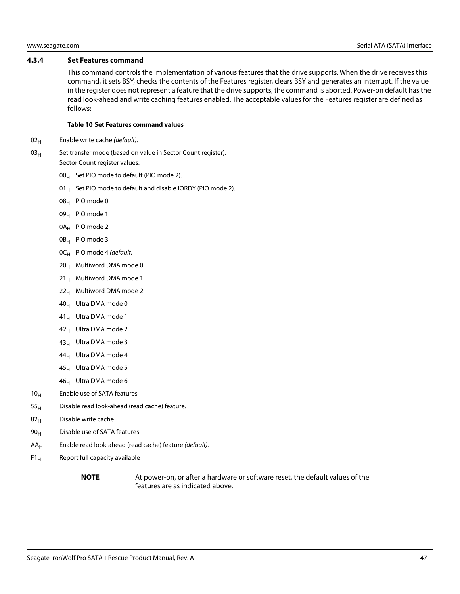#### <span id="page-47-0"></span>**4.3.4 Set Features command**

This command controls the implementation of various features that the drive supports. When the drive receives this command, it sets BSY, checks the contents of the Features register, clears BSY and generates an interrupt. If the value in the register does not represent a feature that the drive supports, the command is aborted. Power-on default has the read look-ahead and write caching features enabled. The acceptable values for the Features register are defined as follows:

#### **Table 10 Set Features command values**

- $02_H$  Enable write cache (*default*).
- $03<sub>H</sub>$  Set transfer mode (based on value in Sector Count register). Sector Count register values:
	- $00_H$  Set PIO mode to default (PIO mode 2).
	- 01 $_{\rm H}$  Set PIO mode to default and disable IORDY (PIO mode 2).
	- 08H PIO mode 0
	- 09<sub>H</sub> PIO mode 1
	- 0A<sub>H</sub> PIO mode 2
	- 0B<sub>H</sub> PIO mode 3
	- $OC_H$  PIO mode 4 (default)
	- $20_H$  Multiword DMA mode 0
	- $21_H$  Multiword DMA mode 1
	- $22<sub>H</sub>$  Multiword DMA mode 2
	- $40_H$  Ultra DMA mode 0
	- $41_H$  Ultra DMA mode 1
	- $42_H$  Ultra DMA mode 2
	- 43<sub>H</sub> Ultra DMA mode 3
	- 44<sub>H</sub> Ultra DMA mode 4
	- $45_H$  Ultra DMA mode 5
	- 46<sub>H</sub> Ultra DMA mode 6
- $10<sub>H</sub>$  Enable use of SATA features
- $55<sub>H</sub>$  Disable read look-ahead (read cache) feature.
- $82<sub>H</sub>$  Disable write cache
- 90<sub>H</sub> Disable use of SATA features
- $AA_H$  Enable read look-ahead (read cache) feature (*default*).
- $F1_H$  Report full capacity available
	-

**NOTE** At power-on, or after a hardware or software reset, the default values of the features are as indicated above.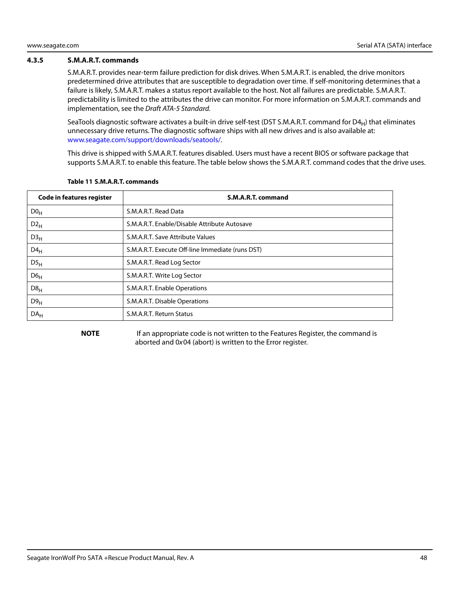#### <span id="page-48-0"></span>**4.3.5 S.M.A.R.T. commands**

S.M.A.R.T. provides near-term failure prediction for disk drives. When S.M.A.R.T. is enabled, the drive monitors predetermined drive attributes that are susceptible to degradation over time. If self-monitoring determines that a failure is likely, S.M.A.R.T. makes a status report available to the host. Not all failures are predictable. S.M.A.R.T. predictability is limited to the attributes the drive can monitor. For more information on S.M.A.R.T. commands and implementation, see the Draft ATA-5 Standard.

SeaTools diagnostic software activates a built-in drive self-test (DST S.M.A.R.T. command for  $D4_H$ ) that eliminates unnecessary drive returns. The diagnostic software ships with all new drives and is also available at: www.seagate.com/support/downloads/seatools/.

This drive is shipped with S.M.A.R.T. features disabled. Users must have a recent BIOS or software package that supports S.M.A.R.T. to enable this feature. The table below shows the S.M.A.R.T. command codes that the drive uses.

| <b>Code in features register</b> | S.M.A.R.T. command                               |
|----------------------------------|--------------------------------------------------|
| D0 <sub>H</sub>                  | S.M.A.R.T. Read Data                             |
| $D2_{H}$                         | S.M.A.R.T. Enable/Disable Attribute Autosave     |
| D3 <sub>H</sub>                  | S.M.A.R.T. Save Attribute Values                 |
| $D4_H$                           | S.M.A.R.T. Execute Off-line Immediate (runs DST) |
| DS <sub>H</sub>                  | S.M.A.R.T. Read Log Sector                       |
| D6 <sub>H</sub>                  | S.M.A.R.T. Write Log Sector                      |
| $D8_H$                           | S.M.A.R.T. Enable Operations                     |
| D9 <sub>H</sub>                  | S.M.A.R.T. Disable Operations                    |
| DA <sub>H</sub>                  | S.M.A.R.T. Return Status                         |

#### **Table 11 S.M.A.R.T. commands**

**NOTE** If an appropriate code is not written to the Features Register, the command is aborted and 0x04 (abort) is written to the Error register.